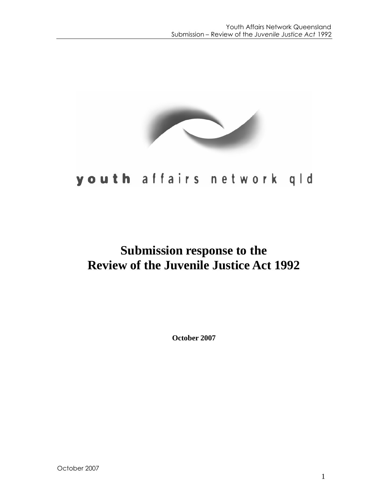

# youth affairs network qld

## **Submission response to the Review of the Juvenile Justice Act 1992**

**October 2007**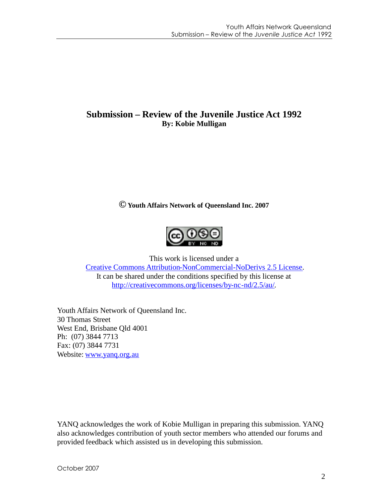## **Submission – Review of the Juvenile Justice Act 1992 By: Kobie Mulligan**

**©Youth Affairs Network of Queensland Inc. 2007**



This work is licensed under a

[Creative Commons Attribution-NonCommercial-NoDerivs 2.5 License.](http://creativecommons.org/licenses/by-nc-nd/2.5/au/) It can be shared under the conditions specified by this license at [http://creativecommons.org/licenses/by-nc-nd/2.5/au/.](http://creativecommons.org/licenses/by-nc-nd/2.5/au/)

Youth Affairs Network of Queensland Inc. 30 Thomas Street West End, Brisbane Qld 4001 Ph: (07) 3844 7713 Fax: (07) 3844 7731 Website: [www.yanq.org.au](http://www.yanq.org.au/)

YANQ acknowledges the work of Kobie Mulligan in preparing this submission. YANQ also acknowledges contribution of youth sector members who attended our forums and provided feedback which assisted us in developing this submission.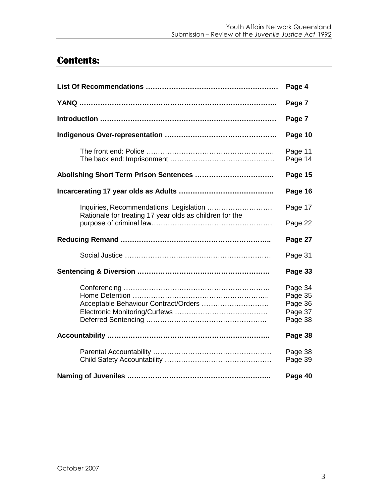## **Contents:**

|                                                         | Page 4                                              |
|---------------------------------------------------------|-----------------------------------------------------|
|                                                         | Page 7                                              |
|                                                         | Page 7                                              |
|                                                         | Page 10                                             |
|                                                         | Page 11<br>Page 14                                  |
| Abolishing Short Term Prison Sentences                  | Page 15                                             |
|                                                         | Page 16                                             |
|                                                         | Page 17                                             |
| Rationale for treating 17 year olds as children for the | Page 22                                             |
|                                                         |                                                     |
|                                                         | Page 27                                             |
|                                                         | Page 31                                             |
|                                                         | Page 33                                             |
| Acceptable Behaviour Contract/Orders                    | Page 34<br>Page 35<br>Page 36<br>Page 37<br>Page 38 |
|                                                         | Page 38                                             |
|                                                         | Page 38<br>Page 39                                  |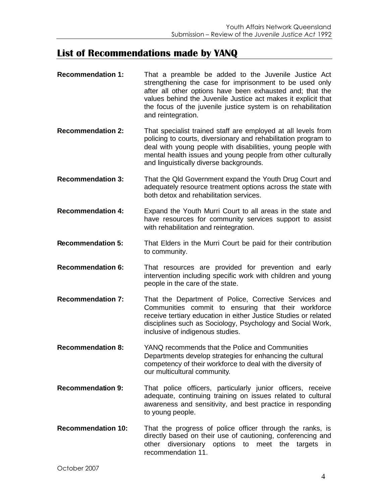## **List of Recommendations made by YANQ**

- **Recommendation 1:** That a preamble be added to the Juvenile Justice Act strengthening the case for imprisonment to be used only after all other options have been exhausted and; that the values behind the Juvenile Justice act makes it explicit that the focus of the juvenile justice system is on rehabilitation and reintegration.
- **Recommendation 2:** That specialist trained staff are employed at all levels from policing to courts, diversionary and rehabilitation program to deal with young people with disabilities, young people with mental health issues and young people from other culturally and linguistically diverse backgrounds.
- **Recommendation 3:** That the Qld Government expand the Youth Drug Court and adequately resource treatment options across the state with both detox and rehabilitation services.
- **Recommendation 4:** Expand the Youth Murri Court to all areas in the state and have resources for community services support to assist with rehabilitation and reintegration.
- **Recommendation 5:** That Elders in the Murri Court be paid for their contribution to community.
- **Recommendation 6:** That resources are provided for prevention and early intervention including specific work with children and young people in the care of the state.
- **Recommendation 7:** That the Department of Police, Corrective Services and Communities commit to ensuring that their workforce receive tertiary education in either Justice Studies or related disciplines such as Sociology, Psychology and Social Work, inclusive of indigenous studies.
- **Recommendation 8:** YANQ recommends that the Police and Communities Departments develop strategies for enhancing the cultural competency of their workforce to deal with the diversity of our multicultural community.
- **Recommendation 9:** That police officers, particularly junior officers, receive adequate, continuing training on issues related to cultural awareness and sensitivity, and best practice in responding to young people.
- **Recommendation 10:** That the progress of police officer through the ranks, is directly based on their use of cautioning, conferencing and other diversionary options to meet the targets in recommendation 11.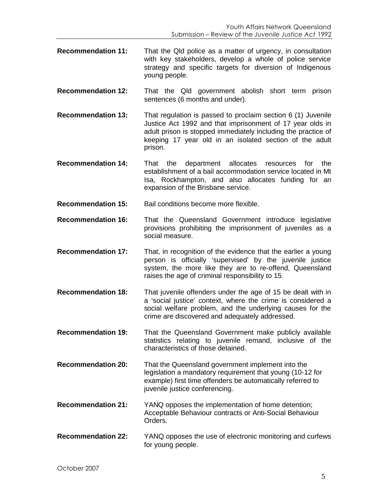- **Recommendation 11:** That the Qld police as a matter of urgency, in consultation with key stakeholders, develop a whole of police service strategy and specific targets for diversion of Indigenous young people.
- **Recommendation 12:** That the Qld government abolish short term prison sentences (6 months and under).
- **Recommendation 13:** That regulation is passed to proclaim section 6 (1) Juvenile Justice Act 1992 and that imprisonment of 17 year olds in adult prison is stopped immediately including the practice of keeping 17 year old in an isolated section of the adult prison.
- **Recommendation 14:** That the department allocates resources for the establishment of a bail accommodation service located in Mt Isa, Rockhampton, and also allocates funding for an expansion of the Brisbane service.

**Recommendation 15:** Bail conditions become more flexible.

- **Recommendation 16:** That the Queensland Government introduce legislative provisions prohibiting the imprisonment of juveniles as a social measure.
- **Recommendation 17:** That, in recognition of the evidence that the earlier a young person is officially 'supervised' by the juvenile justice system, the more like they are to re-offend, Queensland raises the age of criminal responsibility to 15.
- **Recommendation 18:** That juvenile offenders under the age of 15 be dealt with in a 'social justice' context, where the crime is considered a social welfare problem, and the underlying causes for the crime are discovered and adequately addressed.
- **Recommendation 19:** That the Queensland Government make publicly available statistics relating to juvenile remand, inclusive of the characteristics of those detained.
- **Recommendation 20:** That the Queensland government implement into the legislation a mandatory requirement that young (10-12 for example) first time offenders be automatically referred to juvenile justice conferencing.
- **Recommendation 21:** YANQ opposes the implementation of home detention; Acceptable Behaviour contracts or Anti-Social Behaviour Orders.
- **Recommendation 22:** YANQ opposes the use of electronic monitoring and curfews for young people.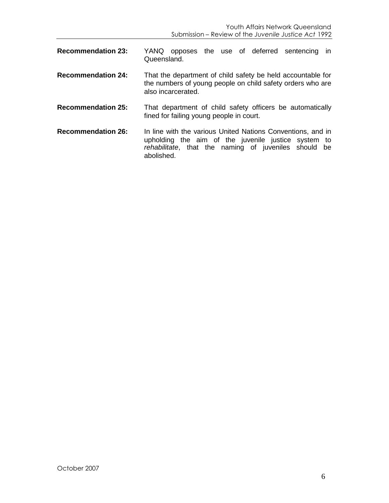| <b>Recommendation 23:</b> | YANQ opposes the use of deferred sentencing<br>ın<br>Queensland.                                                                                                              |
|---------------------------|-------------------------------------------------------------------------------------------------------------------------------------------------------------------------------|
| <b>Recommendation 24:</b> | That the department of child safety be held accountable for<br>the numbers of young people on child safety orders who are<br>also incarcerated.                               |
| <b>Recommendation 25:</b> | That department of child safety officers be automatically<br>fined for failing young people in court.                                                                         |
| <b>Recommendation 26:</b> | In line with the various United Nations Conventions, and in<br>upholding the aim of the juvenile justice system to<br>rehabilitate, that the naming of juveniles should<br>be |

abolished.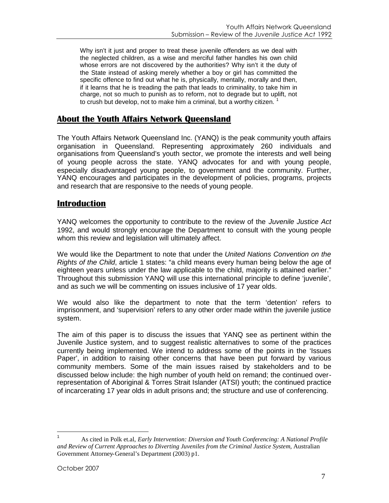Why isn't it just and proper to treat these juvenile offenders as we deal with the neglected children, as a wise and merciful father handles his own child whose errors are not discovered by the authorities? Why isn't it the duty of the State instead of asking merely whether a boy or girl has committed the specific offence to find out what he is, physically, mentally, morally and then, if it learns that he is treading the path that leads to criminality, to take him in charge, not so much to punish as to reform, not to degrade but to uplift, not to crush but develop, not to make him a criminal, but a worthy citizen.  $1$ 

## **About the Youth Affairs Network Queensland**

The Youth Affairs Network Queensland Inc. (YANQ) is the peak community youth affairs organisation in Queensland. Representing approximately 260 individuals and organisations from Queensland's youth sector, we promote the interests and well being of young people across the state. YANQ advocates for and with young people, especially disadvantaged young people, to government and the community. Further, YANQ encourages and participates in the development of policies, programs, projects and research that are responsive to the needs of young people.

## **Introduction**

YANQ welcomes the opportunity to contribute to the review of the *Juvenile Justice Act* 1992, and would strongly encourage the Department to consult with the young people whom this review and legislation will ultimately affect.

We would like the Department to note that under the *United Nations Convention on the Rights of the Child*, article 1 states: "a child means every human being below the age of eighteen years unless under the law applicable to the child, majority is attained earlier." Throughout this submission YANQ will use this international principle to define 'juvenile', and as such we will be commenting on issues inclusive of 17 year olds.

We would also like the department to note that the term 'detention' refers to imprisonment, and 'supervision' refers to any other order made within the juvenile justice system.

The aim of this paper is to discuss the issues that YANQ see as pertinent within the Juvenile Justice system, and to suggest realistic alternatives to some of the practices currently being implemented. We intend to address some of the points in the 'Issues Paper', in addition to raising other concerns that have been put forward by various community members. Some of the main issues raised by stakeholders and to be discussed below include: the high number of youth held on remand; the continued overrepresentation of Aboriginal & Torres Strait Islander (ATSI) youth; the continued practice of incarcerating 17 year olds in adult prisons and; the structure and use of conferencing.

<span id="page-6-0"></span><sup>1</sup> As cited in Polk et.al, *Early Intervention: Diversion and Youth Conferencing: A National Profile and Review of Current Approaches to Diverting Juveniles from the Criminal Justice System*, Australian Government Attorney-General's Department (2003) p1.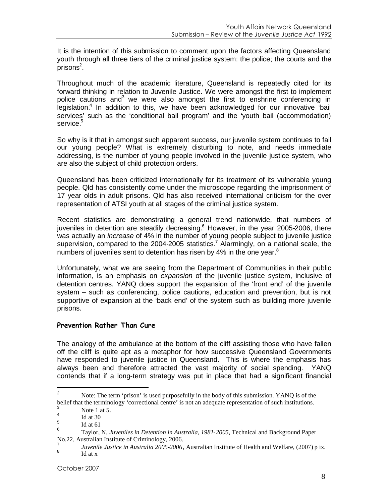It is the intention of this submission to comment upon the factors affecting Queensland youth through all three tiers of the criminal justice system: the police; the courts and the  $p$ risons<sup>[2](#page-7-0)</sup>.

Throughout much of the academic literature, Queensland is repeatedly cited for its forward thinking in relation to Juvenile Justice. We were amongst the first to implement policecautions and<sup>3</sup> we were also amongst the first to enshrine conferencing in legislation.<sup>[4](#page-7-2)</sup> In addition to this, we have been acknowledged for our innovative 'bail services' such as the 'conditional bail program' and the 'youth bail (accommodation) service.<sup>[5](#page-7-3)</sup>

So why is it that in amongst such apparent success, our juvenile system continues to fail our young people? What is extremely disturbing to note, and needs immediate addressing, is the number of young people involved in the juvenile justice system, who are also the subject of child protection orders.

Queensland has been criticized internationally for its treatment of its vulnerable young people. Qld has consistently come under the microscope regarding the imprisonment of 17 year olds in adult prisons. Qld has also received international criticism for the over representation of ATSI youth at all stages of the criminal justice system.

Recent statistics are demonstrating a general trend nationwide, that numbers of juveniles in detention are steadily decreasing.<sup>[6](#page-7-4)</sup> However, in the year 2005-2006, there was actually an *increase* of 4% in the number of young people subject to juvenile justice supervision, compared to the 2004-2005 statistics.<sup>[7](#page-7-5)</sup> Alarmingly, on a national scale, the numbersof juveniles sent to detention has risen by 4% in the one year. $8$ 

Unfortunately, what we are seeing from the Department of Communities in their public information, is an emphasis on *expansion* of the juvenile justice system, inclusive of detention centres. YANQ does support the expansion of the 'front end' of the juvenile system – such as conferencing, police cautions, education and prevention, but is not supportive of expansion at the 'back end' of the system such as building more juvenile prisons.

#### **Prevention Rather Than Cure**

The analogy of the ambulance at the bottom of the cliff assisting those who have fallen off the cliff is quite apt as a metaphor for how successive Queensland Governments have responded to juvenile justice in Queensland. This is where the emphasis has always been and therefore attracted the vast majority of social spending. YANQ contends that if a long-term strategy was put in place that had a significant financial

<span id="page-7-0"></span><sup>&</sup>lt;sup>2</sup> Note: The term 'prison' is used purposefully in the body of this submission. YANQ is of the belief that the terminology 'correctional centre' is not an adequate representation of such institutions.

<span id="page-7-2"></span><span id="page-7-1"></span>Note 1 at 5. 4

<span id="page-7-3"></span>Id at 30

<span id="page-7-4"></span><sup>5</sup> Id at 61 6

Taylor, N, *Juveniles in Detention in Australia, 1981-2005,* Technical and Background Paper No.22, Australian Institute of Criminology, 2006.

<span id="page-7-6"></span><span id="page-7-5"></span><sup>7</sup> *Juvenile Justice in Australia 2005-2006*, Australian Institute of Health and Welfare, (2007) p ix. 8 Id at x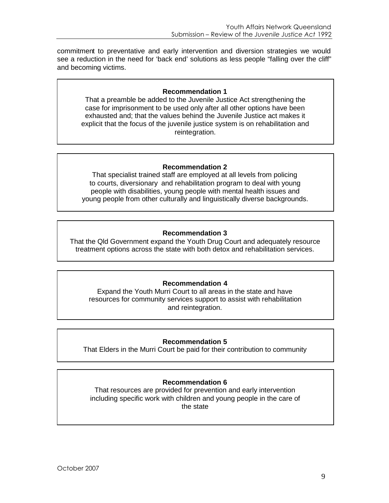commitment to preventative and early intervention and diversion strategies we would see a reduction in the need for 'back end' solutions as less people "falling over the cliff" and becoming victims.

#### **Recommendation 1**

That a preamble be added to the Juvenile Justice Act strengthening the case for imprisonment to be used only after all other options have been exhausted and; that the values behind the Juvenile Justice act makes it explicit that the focus of the juvenile justice system is on rehabilitation and reintegration.

#### **Recommendation 2**

That specialist trained staff are employed at all levels from policing to courts, diversionary and rehabilitation program to deal with young people with disabilities, young people with mental health issues and young people from other culturally and linguistically diverse backgrounds.

#### **Recommendation 3**

That the Qld Government expand the Youth Drug Court and adequately resource treatment options across the state with both detox and rehabilitation services.

#### **Recommendation 4**

Expand the Youth Murri Court to all areas in the state and have resources for community services support to assist with rehabilitation and reintegration.

#### **Recommendation 5**

That Elders in the Murri Court be paid for their contribution to community

#### **Recommendation 6**

That resources are provided for prevention and early intervention including specific work with children and young people in the care of the state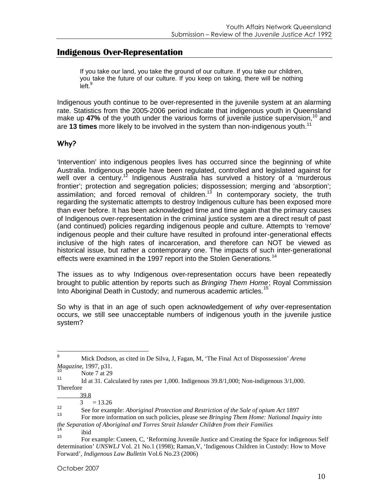## **Indigenous Over-Representation**

If you take our land, you take the ground of our culture. If you take our children, you take the future of our culture. If you keep on taking, there will be nothing  $left<sup>9</sup>$  $left<sup>9</sup>$  $left<sup>9</sup>$ 

Indigenous youth continue to be over-represented in the juvenile system at an alarming rate. Statistics from the 2005-2006 period indicate that indigenous youth in Queensland make up 47% of the youth under the various forms of juvenile justice supervision,<sup>[10](#page-9-1)</sup> and are **13 times** more likely to be involved in the system than non-indigenous youth.<sup>[11](#page-9-2)</sup>

## **Why?**

'Intervention' into indigenous peoples lives has occurred since the beginning of white Australia. Indigenous people have been regulated, controlled and legislated against for well over a century.<sup>[12](#page-9-3)</sup> Indigenous Australia has survived a history of a 'murderous' frontier'; protection and segregation policies; dispossession; merging and 'absorption'; assimilation; and forced removal of children.<sup>[13](#page-9-4)</sup> In contemporary society, the truth regarding the systematic attempts to destroy Indigenous culture has been exposed more than ever before. It has been acknowledged time and time again that the primary causes of Indigenous over-representation in the criminal justice system are a direct result of past (and continued) policies regarding indigenous people and culture. Attempts to 'remove' indigenous people and their culture have resulted in profound inter-generational effects inclusive of the high rates of incarceration, and therefore can NOT be viewed as historical issue, but rather a contemporary one. The impacts of such inter-generational effects were examined in the 1997 report into the Stolen Generations.<sup>[14](#page-9-5)</sup>

The issues as to why Indigenous over-representation occurs have been repeatedly brought to public attention by reports such as *Bringing Them Home*; Royal Commission Into Aboriginal Death in Custody; and numerous academic articles.<sup>[15](#page-9-6)</sup>

So why is that in an age of such open acknowledgement of *why* over-representation occurs, we still see unacceptable numbers of indigenous youth in the juvenile justice system?

<span id="page-9-0"></span><sup>9</sup> Mick Dodson, as cited in De Silva, J, Fagan, M, 'The Final Act of Dispossession' *Arena Magazine*, 1997, p31.

<span id="page-9-1"></span><sup>10</sup> Note 7 at 29

<span id="page-9-2"></span><sup>11</sup> Id at 31. Calculated by rates per 1,000. Indigenous 39.8/1,000; Non-indigenous 3/1,000. Therefore

 $\frac{39.8}{3}$ 

 $= 13.26$ 

<span id="page-9-4"></span><span id="page-9-3"></span><sup>12</sup> See for example: *Aboriginal Protection and Restriction of the Sale of opium Act* 1897

<sup>13</sup> For more information on such policies, please see *Bringing Them Home: National Inquiry into the Separation of Aboriginal and Torres Strait Islander Children from their Families*

<span id="page-9-6"></span><span id="page-9-5"></span> $\frac{14}{15}$  ibid

<sup>15</sup> For example: Cuneen, C, 'Reforming Juvenile Justice and Creating the Space for indigenous Self determination' *UNSWLJ* Vol. 21 No.1 (1998); Raman, V, 'Indigenous Children in Custody: How to Move Forward', *Indigenous Law Bulletin* Vol.6 No.23 (2006)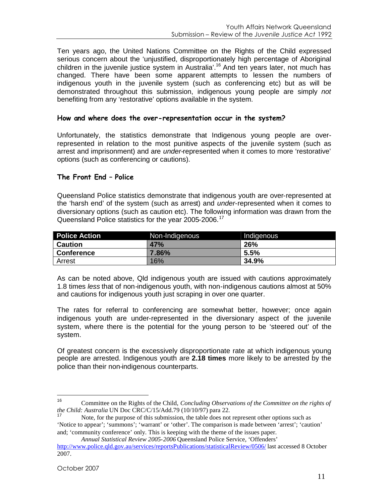Ten years ago, the United Nations Committee on the Rights of the Child expressed serious concern about the 'unjustified, disproportionately high percentage of Aboriginal children in the juvenile justice system in Australia'.<sup>[16](#page-10-0)</sup> And ten years later, not much has changed. There have been some apparent attempts to lessen the numbers of indigenous youth in the juvenile system (such as conferencing etc) but as will be demonstrated throughout this submission, indigenous young people are simply *not* benefiting from any 'restorative' options available in the system.

#### **How and where does the over-representation occur in the system?**

Unfortunately, the statistics demonstrate that Indigenous young people are overrepresented in relation to the most punitive aspects of the juvenile system (such as arrest and imprisonment) and are *under*-represented when it comes to more 'restorative' options (such as conferencing or cautions).

#### **The Front End – Police**

Queensland Police statistics demonstrate that indigenous youth are over-represented at the 'harsh end' of the system (such as arrest) and *under*-represented when it comes to diversionary options (such as caution etc). The following information was drawn from the Queensland Police statistics for the year 2005-2006.<sup>[17](#page-10-1)</sup>

| <b>Police Action</b> | Non-Indigenous | Indigenous      |
|----------------------|----------------|-----------------|
| <b>Caution</b>       | <b>47%</b>     | <b>26%</b>      |
| <b>Conference</b>    | 7.86%          | $^{\circ}$ 5.5% |
| Arrest               | 16%            | 34.9%           |

As can be noted above, Qld indigenous youth are issued with cautions approximately 1.8 times *less* that of non-indigenous youth, with non-indigenous cautions almost at 50% and cautions for indigenous youth just scraping in over one quarter.

The rates for referral to conferencing are somewhat better, however; once again indigenous youth are under-represented in the diversionary aspect of the juvenile system, where there is the potential for the young person to be 'steered out' of the system.

Of greatest concern is the excessively disproportionate rate at which indigenous young people are arrested. Indigenous youth are **2.18 times** more likely to be arrested by the police than their non-indigenous counterparts.

*Annual Statistical Review 2005-2006* Queensland Police Service, 'Offenders'

<span id="page-10-0"></span><sup>16</sup> Committee on the Rights of the Child, *Concluding Observations of the Committee on the rights of the Child: Australia* UN Doc CRC/C/15/Add.79 (10/10/97) para 22.

<span id="page-10-1"></span>Note, for the purpose of this submission, the table does not represent other options such as 'Notice to appear'; 'summons'; 'warrant' or 'other'. The comparison is made between 'arrest'; 'caution' and; 'community conference' only. This is keeping with the theme of the issues paper.

http://www.police.qld.gov.au/services/reportsPublications/statisticalReview/0506/ last accessed 8 October 2007.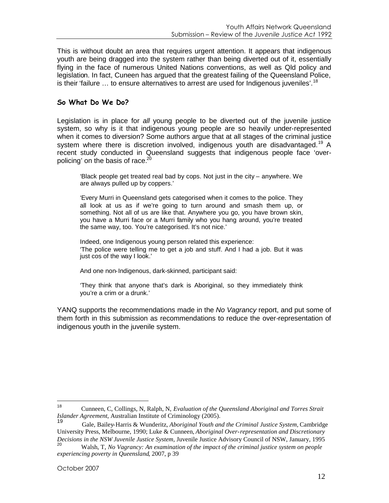This is without doubt an area that requires urgent attention. It appears that indigenous youth are being dragged into the system rather than being diverted out of it, essentially flying in the face of numerous United Nations conventions, as well as Qld policy and legislation. In fact, Cuneen has argued that the greatest failing of the Queensland Police, is their 'failure  $\ldots$  to ensure alternatives to arrest are used for Indigenous juveniles'.<sup>[18](#page-11-0)</sup>

#### **So What Do We Do?**

Legislation is in place for *all* young people to be diverted out of the juvenile justice system, so why is it that indigenous young people are so heavily under-represented when it comes to diversion? Some authors argue that at all stages of the criminal justice system where there is discretion involved, indigenous youth are disadvantaged.<sup>[19](#page-11-1)</sup> A recent study conducted in Queensland suggests that indigenous people face 'over-policing' on the basis of race.<sup>[20](#page-11-2)</sup>

'Black people get treated real bad by cops. Not just in the city – anywhere. We are always pulled up by coppers.'

'Every Murri in Queensland gets categorised when it comes to the police. They all look at us as if we're going to turn around and smash them up, or something. Not all of us are like that. Anywhere you go, you have brown skin, you have a Murri face or a Murri family who you hang around, you're treated the same way, too. You're categorised. It's not nice.'

Indeed, one Indigenous young person related this experience: 'The police were telling me to get a job and stuff. And I had a job. But it was just cos of the way I look.'

And one non-Indigenous, dark-skinned, participant said:

'They think that anyone that's dark is Aboriginal, so they immediately think you're a crim or a drunk.'

YANQ supports the recommendations made in the *No Vagrancy* report, and put some of them forth in this submission as recommendations to reduce the over-representation of indigenous youth in the juvenile system.

<span id="page-11-0"></span><sup>18</sup> Cunneen, C, Collings, N, Ralph, N, *Evaluation of the Queensland Aboriginal and Torres Strait Islander Agreement*, Australian Institute of Criminology (2005).

<span id="page-11-1"></span><sup>19</sup> Gale, Bailey-Harris & Wunderitz, *Aboriginal Youth and the Criminal Justice System,* Cambridge University Press, Melbourne, 1990; Luke & Cunneen, *Aboriginal Over-representation and Discretionary Decisions in the NSW Juvenile Justice System,* Juvenile Justice Advisory Council of NSW, January, 1995

<span id="page-11-2"></span><sup>20</sup> Walsh, T, *No Vagrancy: An examination of the impact of the criminal justice system on people experiencing poverty in Queensland*, 2007, p 39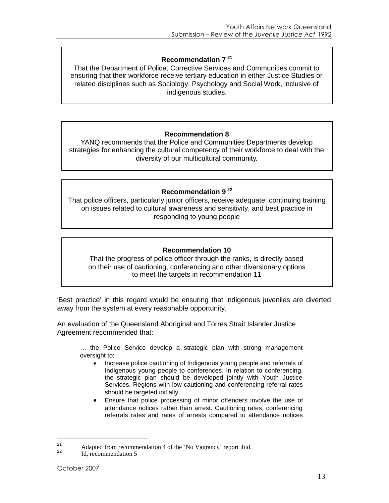#### **Recommendation7 <sup>21</sup>**

That the Department of Police, Corrective Services and Communities commit to ensuring that their workforce receive tertiary education in either Justice Studies or related disciplines such as Sociology, Psychology and Social Work, inclusive of indigenous studies.

#### **Recommendation 8**

YANQ recommends that the Police and Communities Departments develop strategies for enhancing the cultural competency of their workforce to deal with the diversity of our multicultural community.

#### **Recommendation9 <sup>22</sup>**

That police officers, particularly junior officers, receive adequate, continuing training on issues related to cultural awareness and sensitivity, and best practice in responding to young people

#### **Recommendation 10**

That the progress of police officer through the ranks, is directly based on their use of cautioning, conferencing and other diversionary options to meet the targets in recommendation 11

'Best practice' in this regard would be ensuring that indigenous juveniles are diverted away from the system at every reasonable opportunity.

An evaluation of the Queensland Aboriginal and Torres Strait Islander Justice Agreement recommended that:

… the Police Service develop a strategic plan with strong management oversight to:

- Increase police cautioning of Indigenous young people and referrals of Indigenous young people to conferences. In relation to conferencing, the strategic plan should be developed jointly with Youth Justice Services. Regions with low cautioning and conferencing referral rates should be targeted initially.
- Ensure that police processing of minor offenders involve the use of attendance notices rather than arrest. Cautioning rates, conferencing referrals rates and rates of arrests compared to attendance notices

<span id="page-12-0"></span><sup>21</sup> Adapted from recommendation 4 of the 'No Vagrancy' report ibid.

<span id="page-12-1"></span>Id, recommendation 5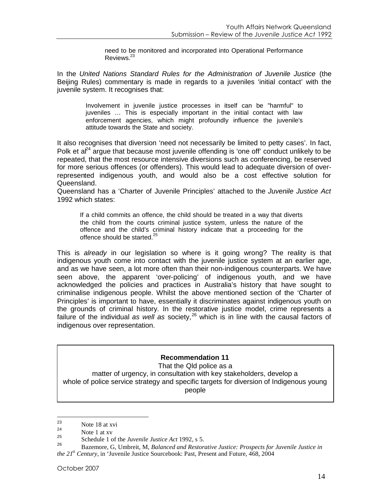need to be monitored and incorporated into Operational Performance Reviews.[23](#page-13-0)

In the *United Nations Standard Rules for the Administration of Juvenile Justice* (the Beijing Rules) commentary is made in regards to a juveniles 'initial contact' with the juvenile system. It recognises that:

Involvement in juvenile justice processes in itself can be "harmful" to juveniles … This is especially important in the initial contact with law enforcement agencies, which might profoundly influence the juvenile's attitude towards the State and society.

It also recognises that diversion 'need not necessarily be limited to petty cases'. In fact, Polket  $a^{24}$  argue that because most juvenile offending is 'one off' conduct unlikely to be repeated, that the most resource intensive diversions such as conferencing, be reserved for more serious offences (or offenders). This would lead to adequate diversion of overrepresented indigenous youth, and would also be a cost effective solution for Queensland.

Queensland has a 'Charter of Juvenile Principles' attached to the *Juvenile Justice Act* 1992 which states:

If a child commits an offence, the child should be treated in a way that diverts the child from the courts criminal justice system, unless the nature of the offence and the child's criminal history indicate that a proceeding for the offence should be started.<sup>[25](#page-13-2)</sup>

This is *already* in our legislation so where is it going wrong? The reality is that indigenous youth come into contact with the juvenile justice system at an earlier age, and as we have seen, a lot more often than their non-indigenous counterparts. We have seen above, the apparent 'over-policing' of indigenous youth, and we have acknowledged the policies and practices in Australia's history that have sought to criminalise indigenous people. Whilst the above mentioned section of the 'Charter of Principles' is important to have, essentially it discriminates against indigenous youth on the grounds of criminal history. In the restorative justice model, crime represents a failure of the individual as well as society,<sup>[26](#page-13-3)</sup> which is in line with the causal factors of indigenous over representation.

#### **Recommendation 11**

That the Qld police as a matter of urgency, in consultation with key stakeholders, develop a whole of police service strategy and specific targets for diversion of Indigenous young people

<span id="page-13-0"></span> $\frac{23}{24}$  Note 18 at xvi

<span id="page-13-2"></span><span id="page-13-1"></span> $\frac{24}{25}$  Note 1 at xv

<span id="page-13-3"></span><sup>25</sup> Schedule 1 of the *Juvenile Justice Act* 1992, s 5.

<sup>26</sup> Bazemore, G, Umbreit, M, *Balanced and Restorative Justice: Prospects for Juvenile Justice in the 21st Century,* in 'Juvenile Justice Sourcebook: Past, Present and Future, 468, 2004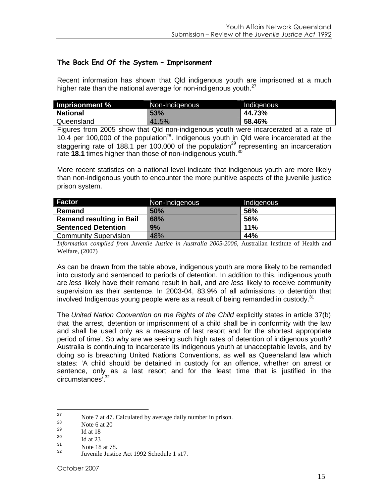#### **The Back End Of the System – Imprisonment**

Recent information has shown that Qld indigenous youth are imprisoned at a much higher rate than the national average for non-indigenous youth. $27$ 

| <b>Imprisonment %</b> | Non-Indigenous | Indigenous |
|-----------------------|----------------|------------|
| <b>National</b>       | 53%            | 44.73%     |
| Queensland            | 41.5%          | 58.46%     |

Figures from 2005 show that Qld non-indigenous youth were incarcerated at a rate of 10.4 per 100,000 of the population<sup>[28](#page-14-1)</sup>. Indigenous youth in Qld were incarcerated at the staggering rate of 188.1 per 100,000 of the population<sup>[29](#page-14-2)</sup> representing an incarceration rate **18.1** times higher than those of non-indigenous youth.<sup>[30](#page-14-3)</sup>

More recent statistics on a national level indicate that indigenous youth are more likely than non-indigenous youth to encounter the more punitive aspects of the juvenile justice prison system.

| Factor                          | Non-Indigenous | Indigenous |
|---------------------------------|----------------|------------|
| Remand                          | 50%            | <b>56%</b> |
| <b>Remand resulting in Bail</b> | 68%            | 56%        |
| <b>Sentenced Detention</b>      | 9%             | 11%        |
| <b>Community Supervision</b>    | 48%            | 44%        |

*Information compiled from Juvenile Justice in Australia 2005-2006*, Australian Institute of Health and Welfare, (2007)

As can be drawn from the table above, indigenous youth are more likely to be remanded into custody and sentenced to periods of detention. In addition to this, indigenous youth are *less* likely have their remand result in bail, and are *less* likely to receive community supervision as their sentence. In 2003-04, 83.9% of all admissions to detention that involved Indigenous young people were as a result of being remanded in custody. $31$ 

The *United Nation Convention on the Rights of the Child* explicitly states in article 37(b) that 'the arrest, detention or imprisonment of a child shall be in conformity with the law and shall be used only as a measure of last resort and for the shortest appropriate period of time'. So why are we seeing such high rates of detention of indigenous youth? Australia is continuing to incarcerate its indigenous youth at unacceptable levels, and by doing so is breaching United Nations Conventions, as well as Queensland law which states: 'A child should be detained in custody for an offence, whether on arrest or sentence, only as a last resort and for the least time that is justified in the circumstances'.[32](#page-14-5)

<span id="page-14-1"></span><span id="page-14-0"></span><sup>27</sup> Note 7 at 47. Calculated by average daily number in prison.

<span id="page-14-2"></span> $\frac{28}{29}$  Note 6 at 20

<span id="page-14-3"></span> $\frac{29}{30}$  Id at 18

<span id="page-14-4"></span> $\frac{30}{31}$  Id at 23

<span id="page-14-5"></span> $\frac{31}{32}$  Note 18 at 78.

Juvenile Justice Act 1992 Schedule 1 s17.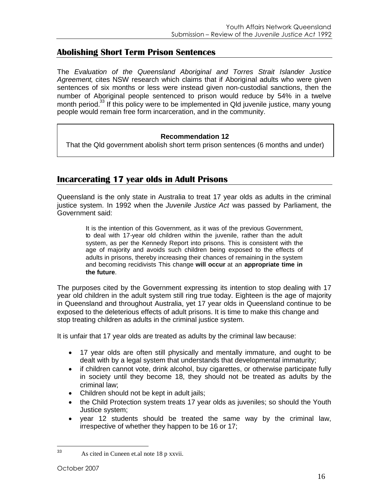## **Abolishing Short Term Prison Sentences**

The *Evaluation of the Queensland Aboriginal and Torres Strait Islander Justice Agreement*, cites NSW research which claims that if Aboriginal adults who were given sentences of six months or less were instead given non-custodial sanctions, then the number of Aboriginal people sentenced to prison would reduce by 54% in a twelve month period.<sup>[33](#page-15-0)</sup> If this policy were to be implemented in Qld juvenile justice, many young people would remain free form incarceration, and in the community.

#### **Recommendation 12**

That the Qld government abolish short term prison sentences (6 months and under)

## **Incarcerating 17 year olds in Adult Prisons**

Queensland is the only state in Australia to treat 17 year olds as adults in the criminal justice system. In 1992 when the *Juvenile Justice Act* was passed by Parliament, the Government said:

> It is the intention of this Government, as it was of the previous Government, to deal with 17-year old children within the juvenile, rather than the adult system, as per the Kennedy Report into prisons. This is consistent with the age of majority and avoids such children being exposed to the effects of adults in prisons, thereby increasing their chances of remaining in the system and becoming recidivists This change **will occur** at an **appropriate time in the future**.

The purposes cited by the Government expressing its intention to stop dealing with 17 year old children in the adult system still ring true today. Eighteen is the age of majority in Queensland and throughout Australia, yet 17 year olds in Queensland continue to be exposed to the deleterious effects of adult prisons. It is time to make this change and stop treating children as adults in the criminal justice system.

It is unfair that 17 year olds are treated as adults by the criminal law because:

- 17 year olds are often still physically and mentally immature, and ought to be dealt with by a legal system that understands that developmental immaturity;
- if children cannot vote, drink alcohol, buy cigarettes, or otherwise participate fully in society until they become 18, they should not be treated as adults by the criminal law;
- Children should not be kept in adult jails;
- the Child Protection system treats 17 year olds as juveniles; so should the Youth Justice system;
- year 12 students should be treated the same way by the criminal law, irrespective of whether they happen to be 16 or 17;

<span id="page-15-0"></span><sup>33</sup> As cited in Cuneen et.al note 18 p xxvii.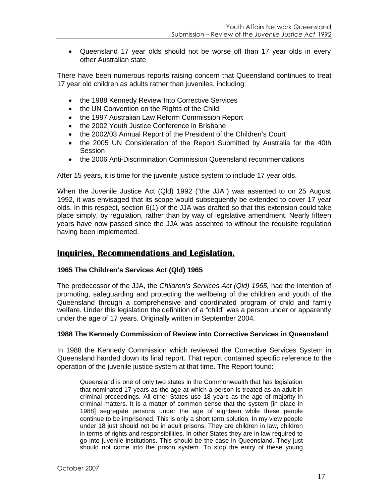Queensland 17 year olds should not be worse off than 17 year olds in every other Australian state

There have been numerous reports raising concern that Queensland continues to treat 17 year old children as adults rather than juveniles, including:

- the 1988 Kennedy Review Into Corrective Services
- the UN Convention on the Rights of the Child
- the 1997 Australian Law Reform Commission Report
- the 2002 Youth Justice Conference in Brisbane
- the 2002/03 Annual Report of the President of the Children's Court
- the 2005 UN Consideration of the Report Submitted by Australia for the 40th **Session**
- the 2006 Anti-Discrimination Commission Queensland recommendations

After 15 years, it is time for the juvenile justice system to include 17 year olds.

When the Juvenile Justice Act (Qld) 1992 ("the JJA") was assented to on 25 August 1992, it was envisaged that its scope would subsequently be extended to cover 17 year olds. In this respect, section 6(1) of the JJA was drafted so that this extension could take place simply, by regulation, rather than by way of legislative amendment. Nearly fifteen years have now passed since the JJA was assented to without the requisite regulation having been implemented.

### **Inquiries, Recommendations and Legislation.**

#### **1965 The Children's Services Act (Qld) 1965**

The predecessor of the JJA, the *Children's Services Act (Qld) 1965,* had the intention of promoting, safeguarding and protecting the wellbeing of the children and youth of the Queensland through a comprehensive and coordinated program of child and family welfare. Under this legislation the definition of a "child" was a person under or apparently under the age of 17 years. Originally written in September 2004.

#### **1988 The Kennedy Commission of Review into Corrective Services in Queensland**

In 1988 the Kennedy Commission which reviewed the Corrective Services System in Queensland handed down its final report. That report contained specific reference to the operation of the juvenile justice system at that time. The Report found:

Queensland is one of only two states in the Commonwealth that has legislation that nominated 17 years as the age at which a person is treated as an adult in criminal proceedings. All other States use 18 years as the age of majority in criminal matters. It is a matter of common sense that the system [in place in 1988] segregate persons under the age of eighteen while these people continue to be imprisoned. This is only a short term solution. In my view people under 18 just should not be in adult prisons. They are children in law, children in terms of rights and responsibilities. In other States they are in law required to go into juvenile institutions. This should be the case in Queensland. They just should not come into the prison system. To stop the entry of these young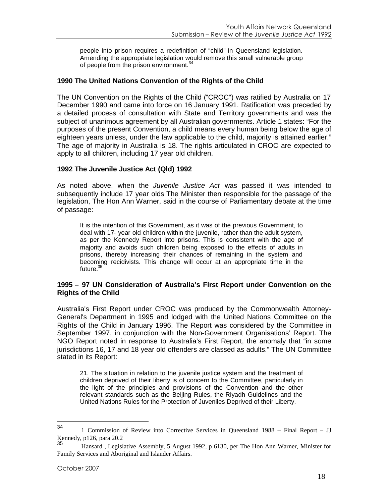people into prison requires a redefinition of "child" in Queensland legislation. Amending the appropriate legislation would remove this small vulnerable group of people from the prison environment.<sup>[34](#page-17-0)</sup>

#### **1990 The United Nations Convention of the Rights of the Child**

The UN Convention on the Rights of the Child ("CROC") was ratified by Australia on 17 December 1990 and came into force on 16 January 1991. Ratification was preceded by a detailed process of consultation with State and Territory governments and was the subject of unanimous agreement by all Australian governments. Article 1 states: "For the purposes of the present Convention, a child means every human being below the age of eighteen years unless, under the law applicable to the child, majority is attained earlier." The age of majority in Australia is 18. The rights articulated in CROC are expected to apply to all children, including 17 year old children.

#### **1992 The Juvenile Justice Act (Qld) 1992**

As noted above, when the *Juvenile Justice Act* was passed it was intended to subsequently include 17 year olds The Minister then responsible for the passage of the legislation, The Hon Ann Warner, said in the course of Parliamentary debate at the time of passage:

It is the intention of this Government, as it was of the previous Government, to deal with 17- year old children within the juvenile, rather than the adult system, as per the Kennedy Report into prisons. This is consistent with the age of majority and avoids such children being exposed to the effects of adults in prisons, thereby increasing their chances of remaining in the system and becoming recidivists. This change will occur at an appropriate time in the future.<sup>[35](#page-17-1)</sup>

#### **1995 – 97 UN Consideration of Australia's First Report under Convention on the Rights of the Child**

Australia's First Report under CROC was produced by the Commonwealth Attorney-General's Department in 1995 and lodged with the United Nations Committee on the Rights of the Child in January 1996. The Report was considered by the Committee in September 1997, in conjunction with the Non-Government Organisations' Report. The NGO Report noted in response to Australia's First Report, the anomaly that "in some jurisdictions 16, 17 and 18 year old offenders are classed as adults." The UN Committee stated in its Report:

21. The situation in relation to the juvenile justice system and the treatment of children deprived of their liberty is of concern to the Committee, particularly in the light of the principles and provisions of the Convention and the other relevant standards such as the Beijing Rules, the Riyadh Guidelines and the United Nations Rules for the Protection of Juveniles Deprived of their Liberty.

<span id="page-17-0"></span><sup>34</sup> <sup>1</sup> Commission of Review into Corrective Services in Queensland 1988 – Final Report – JJ Kennedy, p126, para 20.2<br>35

<span id="page-17-1"></span><sup>35</sup> Hansard , Legislative Assembly, 5 August 1992, p 6130, per The Hon Ann Warner, Minister for Family Services and Aboriginal and Islander Affairs.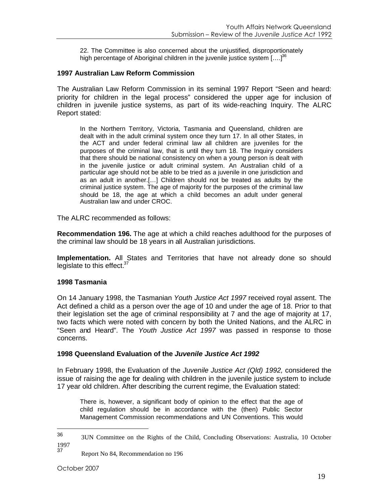22. The Committee is also concerned about the unjustified, disproportionately highpercentage of Aboriginal children in the juvenile justice system  $[....]^{36}$ 

#### **1997 Australian Law Reform Commission**

The Australian Law Reform Commission in its seminal 1997 Report "Seen and heard: priority for children in the legal process" considered the upper age for inclusion of children in juvenile justice systems, as part of its wide-reaching Inquiry. The ALRC Report stated:

In the Northern Territory, Victoria, Tasmania and Queensland, children are dealt with in the adult criminal system once they turn 17. In all other States, in the ACT and under federal criminal law all children are juveniles for the purposes of the criminal law, that is until they turn 18. The Inquiry considers that there should be national consistency on when a young person is dealt with in the juvenile justice or adult criminal system. An Australian child of a particular age should not be able to be tried as a juvenile in one jurisdiction and as an adult in another.[…] Children should not be treated as adults by the criminal justice system. The age of majority for the purposes of the criminal law should be 18, the age at which a child becomes an adult under general Australian law and under CROC.

The ALRC recommended as follows:

**Recommendation 196.** The age at which a child reaches adulthood for the purposes of the criminal law should be 18 years in all Australian jurisdictions.

**Implementation.** All States and Territories that have not already done so should legislate to this effect.<sup>3</sup>

#### **1998 Tasmania**

On 14 January 1998, the Tasmanian *Youth Justice Act 1997* received royal assent. The Act defined a child as a person over the age of 10 and under the age of 18. Prior to that their legislation set the age of criminal responsibility at 7 and the age of majority at 17, two facts which were noted with concern by both the United Nations, and the ALRC in "Seen and Heard". The *Youth Justice Act 1997* was passed in response to those concerns.

#### **1998 Queensland Evaluation of the** *Juvenile Justice Act 1992*

In February 1998, the Evaluation of the *Juvenile Justice Act (Qld) 1992,* considered the issue of raising the age for dealing with children in the juvenile justice system to include 17 year old children. After describing the current regime, the Evaluation stated:

There is, however, a significant body of opinion to the effect that the age of child regulation should be in accordance with the (then) Public Sector Management Commission recommendations and UN Conventions. This would

<span id="page-18-1"></span><span id="page-18-0"></span><sup>36</sup> 3UN Committee on the Rights of the Child, Concluding Observations: Australia, 10 October 1997<br>37

<sup>37</sup> Report No 84, Recommendation no 196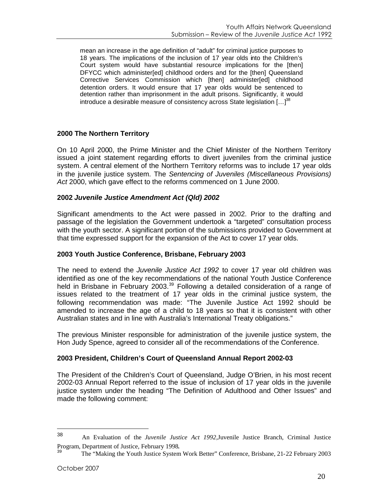mean an increase in the age definition of "adult" for criminal justice purposes to 18 years. The implications of the inclusion of 17 year olds into the Children's Court system would have substantial resource implications for the [then] DFYCC which administer[ed] childhood orders and for the [then] Queensland Corrective Services Commission which [then] administer[ed] childhood detention orders. It would ensure that 17 year olds would be sentenced to detention rather than imprisonment in the adult prisons. Significantly, it would introducea desirable measure of consistency across State legislation  $[...]^{38}$ 

#### **2000 The Northern Territory**

On 10 April 2000, the Prime Minister and the Chief Minister of the Northern Territory issued a joint statement regarding efforts to divert juveniles from the criminal justice system. A central element of the Northern Territory reforms was to include 17 year olds in the juvenile justice system. The *Sentencing of Juveniles (Miscellaneous Provisions) Act* 2000, which gave effect to the reforms commenced on 1 June 2000.

#### **2002** *Juvenile Justice Amendment Act (Qld) 2002*

Significant amendments to the Act were passed in 2002. Prior to the drafting and passage of the legislation the Government undertook a "targeted" consultation process with the youth sector. A significant portion of the submissions provided to Government at that time expressed support for the expansion of the Act to cover 17 year olds.

#### **2003 Youth Justice Conference, Brisbane, February 2003**

The need to extend the *Juvenile Justice Act 1992* to cover 17 year old children was identified as one of the key recommendations of the national Youth Justice Conference held in Brisbane in February 2003. $39$  Following a detailed consideration of a range of issues related to the treatment of 17 year olds in the criminal justice system, the following recommendation was made: "The Juvenile Justice Act 1992 should be amended to increase the age of a child to 18 years so that it is consistent with other Australian states and in line with Australia's International Treaty obligations."

The previous Minister responsible for administration of the juvenile justice system, the Hon Judy Spence, agreed to consider all of the recommendations of the Conference.

#### **2003 President, Children's Court of Queensland Annual Report 2002-03**

The President of the Children's Court of Queensland, Judge O'Brien, in his most recent 2002-03 Annual Report referred to the issue of inclusion of 17 year olds in the juvenile justice system under the heading "The Definition of Adulthood and Other Issues" and made the following comment:

<span id="page-19-0"></span><sup>38</sup> An Evaluation of the *Juvenile Justice Act 1992,*Juvenile Justice Branch, Criminal Justice Program, Department of Justice, February 1998.

<span id="page-19-1"></span><sup>39</sup> The "Making the Youth Justice System Work Better" Conference, Brisbane, 21-22 February 2003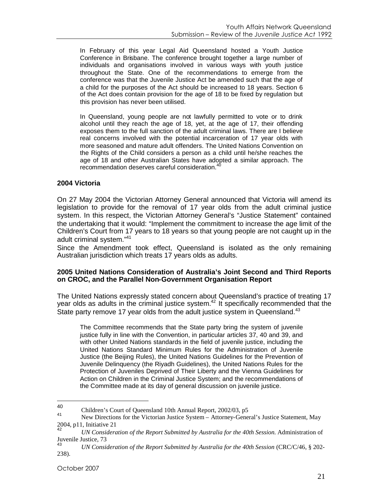In February of this year Legal Aid Queensland hosted a Youth Justice Conference in Brisbane. The conference brought together a large number of individuals and organisations involved in various ways with youth justice throughout the State. One of the recommendations to emerge from the conference was that the Juvenile Justice Act be amended such that the age of a child for the purposes of the Act should be increased to 18 years. Section 6 of the Act does contain provision for the age of 18 to be fixed by regulation but this provision has never been utilised.

In Queensland, young people are not lawfully permitted to vote or to drink alcohol until they reach the age of 18, yet, at the age of 17, their offending exposes them to the full sanction of the adult criminal laws. There are I believe real concerns involved with the potential incarceration of 17 year olds with more seasoned and mature adult offenders. The United Nations Convention on the Rights of the Child considers a person as a child until he/she reaches the age of 18 and other Australian States have adopted a similar approach. The recommendation deserves careful consideration.

#### **2004 Victoria**

On 27 May 2004 the Victorian Attorney General announced that Victoria will amend its legislation to provide for the removal of 17 year olds from the adult criminal justice system. In this respect, the Victorian Attorney General's "Justice Statement" contained the undertaking that it would: "Implement the commitment to increase the age limit of the Children's Court from 17 years to 18 years so that young people are not caught up in the adult criminal system."[41](#page-20-1)

Since the Amendment took effect, Queensland is isolated as the only remaining Australian jurisdiction which treats 17 years olds as adults.

#### **2005 United Nations Consideration of Australia's Joint Second and Third Reports on CROC, and the Parallel Non-Government Organisation Report**

The United Nations expressly stated concern about Queensland's practice of treating 17 year olds as adults in the criminal justice system.<sup>[42](#page-20-2)</sup> It specifically recommended that the State party remove 17 year olds from the adult justice system in Queensland.<sup>[43](#page-20-3)</sup>

The Committee recommends that the State party bring the system of juvenile justice fully in line with the Convention, in particular articles 37, 40 and 39, and with other United Nations standards in the field of juvenile justice, including the United Nations Standard Minimum Rules for the Administration of Juvenile Justice (the Beijing Rules), the United Nations Guidelines for the Prevention of Juvenile Delinquency (the Riyadh Guidelines), the United Nations Rules for the Protection of Juveniles Deprived of Their Liberty and the Vienna Guidelines for Action on Children in the Criminal Justice System; and the recommendations of the Committee made at its day of general discussion on juvenile justice.

<span id="page-20-0"></span><sup>40</sup> Children's Court of Queensland 10th Annual Report, 2002/03, p5

<span id="page-20-1"></span>New Directions for the Victorian Justice System – Attorney-General's Justice Statement, May  $2004$ , p11, Initiative 21

<span id="page-20-2"></span><sup>42</sup> *UN Consideration of the Report Submitted by Australia for the 40th Session*. Administration of Juvenile Justice,  $73 \frac{\text{43}}{\text{M}}$ 

<span id="page-20-3"></span><sup>43</sup> *UN Consideration of the Report Submitted by Australia for the 40th Session* (CRC/C/46, § 202- 238).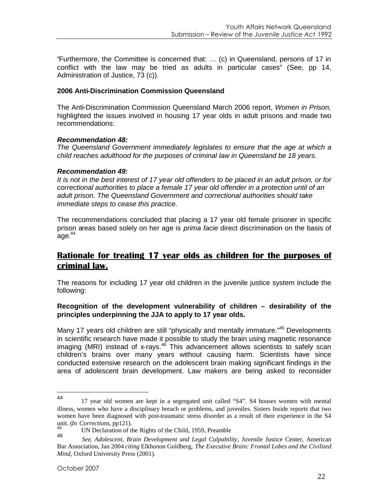"Furthermore, the Committee is concerned that: … (c) in Queensland, persons of 17 in conflict with the law may be tried as adults in particular cases" (See, pp 14, Administration of Justice, 73 (c)).

#### **2006 Anti-Discrimination Commission Queensland**

The Anti-Discrimination Commission Queensland March 2006 report, *Women in Prison,* highlighted the issues involved in housing 17 year olds in adult prisons and made two recommendations:

#### *Recommendation 48:*

*The Queensland Government immediately legislates to ensure that the age at which a child reaches adulthood for the purposes of criminal law in Queensland be 18 years.*

#### *Recommendation 49:*

*It is not in the best interest of 17 year old offenders to be placed in an adult prison, or for correctional authorities to place a female 17 year old offender in a protection until of an adult prison. The Queensland Government and correctional authorities should take immediate steps to cease this practice*.

The recommendations concluded that placing a 17 year old female prisoner in specific prison areas based solely on her age is *prima facie* direct discrimination on the basis of age. $44$ 

## **Rationale for treating 17 year olds as children for the purposes of criminal law.**

The reasons for including 17 year old children in the juvenile justice system include the following:

#### **Recognition of the development vulnerability of children – desirability of the principles underpinning the JJA to apply to 17 year olds.**

Many 17 years old children are still "physically and mentally immature."<sup>[45](#page-21-1)</sup> Developments in scientific research have made it possible to study the brain using magnetic resonance  $\overline{a}$  imaging (MRI) instead of x-rays.<sup>[46](#page-21-2)</sup> This advancement allows scientists to safely scan children's brains over many years without causing harm. Scientists have since conducted extensive research on the adolescent brain making significant findings in the area of adolescent brain development. Law makers are being asked to reconsider

<span id="page-21-0"></span><sup>44</sup> 17 year old women are kept in a segregated unit called "S4". S4 houses women with mental illness, women who have a disciplinary breach or problems, and juveniles. Sisters Inside reports that two women have been diagnosed with post-traumatic stress disorder as a result of their experience in the S4 unit. (*In Corrections*, pp121).

<span id="page-21-2"></span><span id="page-21-1"></span><sup>&</sup>lt;sup>45</sup> UN Declaration of the Rights of the Child, 1959, Preamble 46

<sup>46</sup> *See*, *Adolescent, Brain Development and Legal Culpability*, Juvenile Justice Center, American Bar Association, Jan 2004 *citing* Elkhonon Goldberg, *The Executive Brain: Frontal Lobes and the Civilized Mind*, Oxford University Press (2001).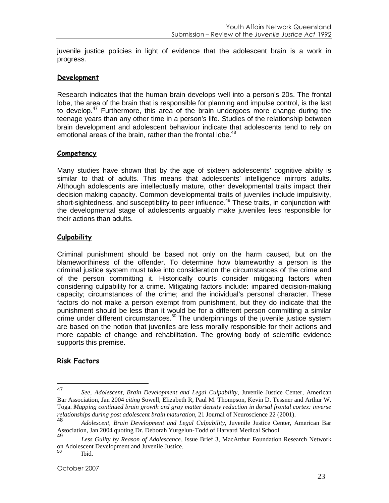juvenile justice policies in light of evidence that the adolescent brain is a work in progress.

#### **Development**

Research indicates that the human brain develops well into a person's 20s. The frontal lobe, the area of the brain that is responsible for planning and impulse control, is the last to develop.<sup>[47](#page-22-0)</sup> Furthermore, this area of the brain undergoes more change during the teenage years than any other time in a person's life. Studies of the relationship between brain development and adolescent behaviour indicate that adolescents tend to rely on emotionalareas of the brain, rather than the frontal lobe[.](#page-22-1)<sup>48</sup>

#### **Competency**

Many studies have shown that by the age of sixteen adolescents' cognitive ability is similar to that of adults. This means that adolescents' intelligence mirrors adults. Although adolescents are intellectually mature, other developmental traits impact their decision making capacity. Common developmental traits of juveniles include impulsivity, short-sightedness, and susceptibility to peer influence.<sup>[49](#page-22-2)</sup> These traits, in conjunction with the developmental stage of adolescents arguably make juveniles less responsible for their actions than adults.

#### **Culpability**

Criminal punishment should be based not only on the harm caused, but on the blameworthiness of the offender. To determine how blameworthy a person is the criminal justice system must take into consideration the circumstances of the crime and of the person committing it. Historically courts consider mitigating factors when considering culpability for a crime. Mitigating factors include: impaired decision-making capacity; circumstances of the crime; and the individual's personal character. These factors do not make a person exempt from punishment, but they do indicate that the punishment should be less than it would be for a different person committing a similar  $\frac{1}{2}$  crime under different circumstances.<sup>[50](#page-22-3)</sup> The underpinnings of the juvenile justice system are based on the notion that juveniles are less morally responsible for their actions and more capable of change and rehabilitation. The growing body of scientific evidence supports this premise.

#### **Risk Factors**

<span id="page-22-0"></span><sup>47</sup> *See*, *Adolescent, Brain Development and Legal Culpability*, Juvenile Justice Center, American Bar Association, Jan 2004 *citing* Sowell, Elizabeth R, Paul M. Thompson, Kevin D. Tessner and Arthur W. Toga. *Mapping continued brain growth and gray matter density reduction in dorsal frontal cortex: inverse relationships during post adolescent brain maturation*, 21 Journal of Neuroscience 22 (2001).<br>48

<span id="page-22-1"></span><sup>48</sup> *Adolescent, Brain Development and Legal Culpability*, Juvenile Justice Center, American Bar Association, Jan 2004 quoting Dr. Deborah Yurgelun-Todd of Harvard Medical School

<span id="page-22-2"></span><sup>49</sup> *Less Guilty by Reason of Adolescence*, Issue Brief 3, MacArthur Foundation Research Network on Adolescent Development and Juvenile Justice.<br>50

<span id="page-22-3"></span>Ibid.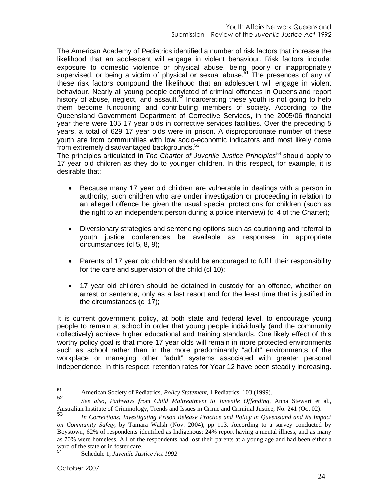The American Academy of Pediatrics identified a number of risk factors that increase the likelihood that an adolescent will engage in violent behaviour. Risk factors include: exposure to domestic violence or physical abuse, being poorly or inappropriately supervised, or being a victim of physical or sexual abuse.<sup>[51](#page-23-0)</sup> The presences of any of these risk factors compound the likelihood that an adolescent will engage in violent behaviour. Nearly all young people convicted of criminal offences in Queensland report history of abuse, neglect, and assault.<sup>[52](#page-23-1)</sup> Incarcerating these youth is not going to help them become functioning and contributing members of society. According to the Queensland Government Department of Corrective Services, in the 2005/06 financial year there were 105 17 year olds in corrective services facilities. Over the preceding 5 years, a total of 629 17 year olds were in prison. A disproportionate number of these youth are from communities with low socio-economic indicators and most likely come from extremely disadvantaged backgrounds.<sup>[53](#page-23-2)</sup>

The principles articulated in *The Charter of Juvenile Justice Principles*[54](#page-23-3) should apply to 17 year old children as they do to younger children. In this respect, for example, it is desirable that:

- Because many 17 year old children are vulnerable in dealings with a person in authority, such children who are under investigation or proceeding in relation to an alleged offence be given the usual special protections for children (such as the right to an independent person during a police interview) (cl 4 of the Charter);
- Diversionary strategies and sentencing options such as cautioning and referral to youth justice conferences be available as responses in appropriate circumstances (cl 5, 8, 9);
- Parents of 17 year old children should be encouraged to fulfill their responsibility for the care and supervision of the child (cl 10);
- 17 year old children should be detained in custody for an offence, whether on arrest or sentence, only as a last resort and for the least time that is justified in the circumstances (cl 17);

It is current government policy, at both state and federal level, to encourage young people to remain at school in order that young people individually (and the community collectively) achieve higher educational and training standards. One likely effect of this worthy policy goal is that more 17 year olds will remain in more protected environments such as school rather than in the more predominantly "adult" environments of the workplace or managing other "adult" systems associated with greater personal independence. In this respect, retention rates for Year 12 have been steadily increasing.

<span id="page-23-1"></span><span id="page-23-0"></span><sup>51</sup> American Society of Pediatrics, *Policy Statement*, 1 Pediatrics, 103 (1999).

<sup>52</sup> *See also*, *Pathways from Child Maltreatment to Juvenile Offending*, Anna Stewart et al., Australian Institute of Criminology, Trends and Issues in Crime and Criminal Justice, No. 241 (Oct 02).

<span id="page-23-2"></span><sup>53</sup> *In Corrections: Investigating Prison Release Practice and Policy in Queensland and its Impact on Community Safety*, by Tamara Walsh (Nov. 2004), pp 113. According to a survey conducted by Boystown, 62% of respondents identified as Indigenous; 24% report having a mental illness, and as many as 70% were homeless. All of the respondents had lost their parents at a young age and had been either a ward of the state or in foster care.

<span id="page-23-3"></span><sup>54</sup> Schedule 1, *Juvenile Justice Act 1992*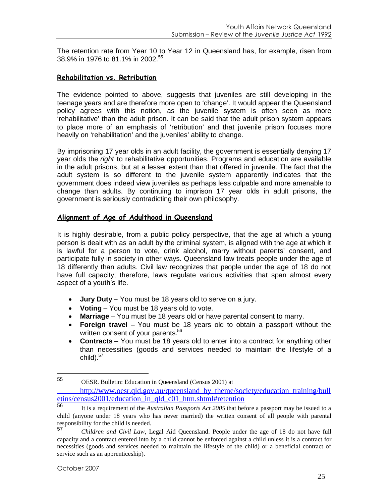The retention rate from Year 10 to Year 12 in Queensland has, for example, risen from 38.9% in 1976 to 81.1% in 2002<sup>[55](#page-24-0)</sup>

#### **Rehabilitation vs. Retribution**

The evidence pointed to above, suggests that juveniles are still developing in the teenage years and are therefore more open to 'change'. It would appear the Queensland policy agrees with this notion, as the juvenile system is often seen as more 'rehabilitative' than the adult prison. It can be said that the adult prison system appears to place more of an emphasis of 'retribution' and that juvenile prison focuses more heavily on 'rehabilitation' and the juveniles' ability to change.

By imprisoning 17 year olds in an adult facility, the government is essentially denying 17 year olds the *right* to rehabilitative opportunities. Programs and education are available in the adult prisons, but at a lesser extent than that offered in juvenile. The fact that the adult system is so different to the juvenile system apparently indicates that the government does indeed view juveniles as perhaps less culpable and more amenable to change than adults. By continuing to imprison 17 year olds in adult prisons, the government is seriously contradicting their own philosophy.

#### **Alignment of Age of Adulthood in Queensland**

It is highly desirable, from a public policy perspective, that the age at which a young person is dealt with as an adult by the criminal system, is aligned with the age at which it is lawful for a person to vote, drink alcohol, marry without parents' consent, and participate fully in society in other ways. Queensland law treats people under the age of 18 differently than adults. Civil law recognizes that people under the age of 18 do not have full capacity; therefore, laws regulate various activities that span almost every aspect of a youth's life.

- **Jury Duty** You must be 18 years old to serve on a jury.
- **Voting** You must be 18 years old to vote.
- **Marriage** You must be 18 years old or have parental consent to marry.
- **Foreign travel** You must be 18 years old to obtain a passport without the written consent of your parents.<sup>[56](#page-24-1)</sup>
- **Contracts** You must be 18 years old to enter into a contract for anything other than necessities (goods and services needed to maintain the lifestyle of a child). $57$

<span id="page-24-0"></span><sup>55</sup> OESR. Bulletin: Education in Queensland (Census 2001) at

http://www.oesr.qld.gov.au/queensland\_by\_theme/society/education\_training/bull etins/census2001/education\_in\_qld\_c01\_htm.shtml#retention<br>56

<span id="page-24-1"></span><sup>56</sup> It is a requirement of the *Australian Passports Act 2005* that before a passport may be issued to a child (anyone under 18 years who has never married) the written consent of all people with parental responsibility for the child is needed.<br>57

<span id="page-24-2"></span><sup>57</sup> *Children and Civil Law*, Legal Aid Queensland. People under the age of 18 do not have full capacity and a contract entered into by a child cannot be enforced against a child unless it is a contract for necessities (goods and services needed to maintain the lifestyle of the child) or a beneficial contract of service such as an apprenticeship).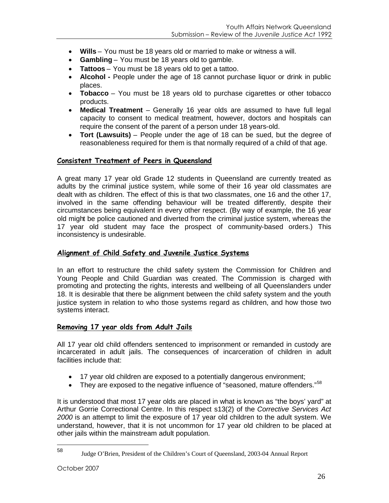- **Wills** You must be 18 years old or married to make or witness a will.
- **Gambling** You must be 18 years old to gamble.
- **Tattoos** You must be 18 years old to get a tattoo.
- **Alcohol -** People under the age of 18 cannot purchase liquor or drink in public places.
- **Tobacco** You must be 18 years old to purchase cigarettes or other tobacco products.
- **Medical Treatment** Generally 16 year olds are assumed to have full legal capacity to consent to medical treatment, however, doctors and hospitals can require the consent of the parent of a person under 18 years-old.
- **Tort (Lawsuits)** People under the age of 18 can be sued, but the degree of reasonableness required for them is that normally required of a child of that age.

#### **Consistent Treatment of Peers in Queensland**

A great many 17 year old Grade 12 students in Queensland are currently treated as adults by the criminal justice system, while some of their 16 year old classmates are dealt with as children. The effect of this is that two classmates, one 16 and the other 17, involved in the same offending behaviour will be treated differently, despite their circumstances being equivalent in every other respect. (By way of example, the 16 year old might be police cautioned and diverted from the criminal justice system, whereas the 17 year old student may face the prospect of community-based orders.) This inconsistency is undesirable.

#### **Alignment of Child Safety and Juvenile Justice Systems**

In an effort to restructure the child safety system the Commission for Children and Young People and Child Guardian was created. The Commission is charged with promoting and protecting the rights, interests and wellbeing of all Queenslanders under 18. It is desirable that there be alignment between the child safety system and the youth justice system in relation to who those systems regard as children, and how those two systems interact.

#### **Removing 17 year olds from Adult Jails**

All 17 year old child offenders sentenced to imprisonment or remanded in custody are incarcerated in adult jails. The consequences of incarceration of children in adult facilities include that:

- 17 year old children are exposed to a potentially dangerous environment;
- They are exposed to the negative influence of "seasoned, mature offenders." $58$

It is understood that most 17 year olds are placed in what is known as "the boys' yard" at Arthur Gorrie Correctional Centre. In this respect s13(2) of the *Corrective Services Act 2000* is an attempt to limit the exposure of 17 year old children to the adult system. We understand, however, that it is not uncommon for 17 year old children to be placed at other jails within the mainstream adult population.

<span id="page-25-0"></span><sup>58</sup> Judge O'Brien, President of the Children's Court of Queensland, 2003-04 Annual Report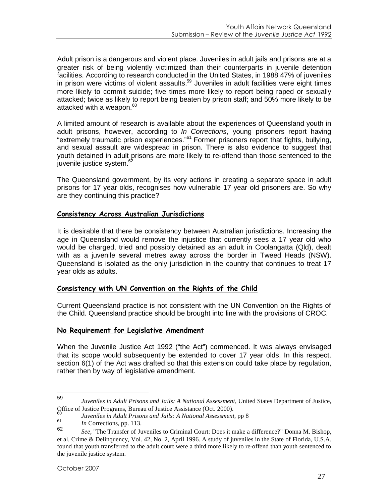Adult prison is a dangerous and violent place. Juveniles in adult jails and prisons are at a greater risk of being violently victimized than their counterparts in juvenile detention facilities. According to research conducted in the United States, in 1988 47% of juveniles in prison were victims of violent assaults.<sup>[59](#page-26-0)</sup> Juveniles in adult facilities were eight times more likely to commit suicide; five times more likely to report being raped or sexually attacked; twice as likely to report being beaten by prison staff; and 50% more likely to be attacked with a weapon.<sup>[60](#page-26-1)</sup>

A limited amount of research is available about the experiences of Queensland youth in adult prisons, however, according to *In Corrections*, young prisoners report having "extremely traumatic prison experiences."[61](#page-26-2) Former prisoners report that fights, bullying, and sexual assault are widespread in prison. There is also evidence to suggest that youth detained in adult prisons are more likely to re-offend than those sentenced to the juvenile justice system.<sup>[62](#page-26-3)</sup>

The Queensland government, by its very actions in creating a separate space in adult prisons for 17 year olds, recognises how vulnerable 17 year old prisoners are. So why are they continuing this practice?

#### **Consistency Across Australian Jurisdictions**

It is desirable that there be consistency between Australian jurisdictions. Increasing the age in Queensland would remove the injustice that currently sees a 17 year old who would be charged, tried and possibly detained as an adult in Coolangatta (Qld), dealt with as a juvenile several metres away across the border in Tweed Heads (NSW). Queensland is isolated as the only jurisdiction in the country that continues to treat 17 year olds as adults.

#### **Consistency with UN Convention on the Rights of the Child**

Current Queensland practice is not consistent with the UN Convention on the Rights of the Child. Queensland practice should be brought into line with the provisions of CROC.

#### **No Requirement for Legislative Amendment**

When the Juvenile Justice Act 1992 ("the Act") commenced. It was always envisaged that its scope would subsequently be extended to cover 17 year olds. In this respect, section 6(1) of the Act was drafted so that this extension could take place by regulation, rather then by way of legislative amendment.

<span id="page-26-0"></span><sup>59</sup> *Juveniles in Adult Prisons and Jails: A National Assessment*, United States Department of Justice, Office of Justice Programs, Bureau of Justice Assistance (Oct. 2000).

<span id="page-26-2"></span><span id="page-26-1"></span><sup>60</sup> *Juveniles in Adult Prisons and Jails: A National Assessment*, pp 8

<span id="page-26-3"></span> $\frac{61}{62}$  *In* Corrections, pp. 113.

<sup>62</sup> *See,* "The Transfer of Juveniles to Criminal Court: Does it make a difference?" Donna M. Bishop, et al. Crime & Delinquency, Vol. 42, No. 2, April 1996. A study of juveniles in the State of Florida, U.S.A. found that youth transferred to the adult court were a third more likely to re-offend than youth sentenced to the juvenile justice system.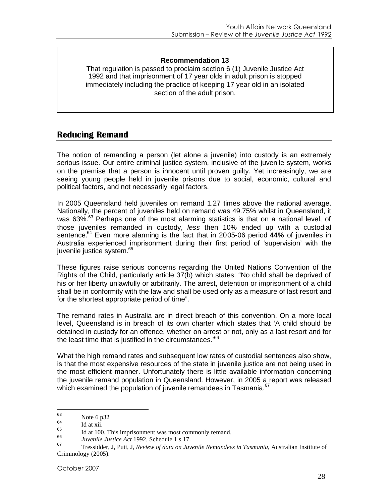#### **Recommendation 13**

That regulation is passed to proclaim section 6 (1) Juvenile Justice Act 1992 and that imprisonment of 17 year olds in adult prison is stopped immediately including the practice of keeping 17 year old in an isolated section of the adult prison.

## **Reducing Remand**

The notion of remanding a person (let alone a juvenile) into custody is an extremely serious issue. Our entire criminal justice system, inclusive of the juvenile system, works on the premise that a person is innocent until proven guilty. Yet increasingly, we are seeing young people held in juvenile prisons due to social, economic, cultural and political factors, and not necessarily legal factors.

In 2005 Queensland held juveniles on remand 1.27 times above the national average. Nationally, the percent of juveniles held on remand was 49.75% whilst in Queensland, it was [63](#page-27-0)%.<sup>63</sup> Perhaps one of the most alarming statistics is that on a national level, of those juveniles remanded in custody, *less* then 10% ended up with a custodial sentence.[64](#page-27-1) Even more alarming is the fact that in 2005-06 period **44%** of juveniles in Australia experienced imprisonment during their first period of 'supervision' with the juvenile justice system.<sup>[65](#page-27-2)</sup>

These figures raise serious concerns regarding the United Nations Convention of the Rights of the Child, particularly article 37(b) which states: "No child shall be deprived of his or her liberty unlawfully or arbitrarily. The arrest, detention or imprisonment of a child shall be in conformity with the law and shall be used only as a measure of last resort and for the shortest appropriate period of time".

The remand rates in Australia are in direct breach of this convention. On a more local level, Queensland is in breach of its own charter which states that 'A child should be detained in custody for an offence, whether on arrest or not, only as a last resort and for the least time that is justified in the circumstances.<sup>[66](#page-27-3)</sup>

What the high remand rates and subsequent low rates of custodial sentences also show, is that the most expensive resources of the state in juvenile justice are not being used in the most efficient manner. Unfortunately there is little available information concerning the juvenile remand population in Queensland. However, in 2005 a report was released which examined the population of juvenile remandees in Tasmania.<sup>[67](#page-27-4)</sup>

<span id="page-27-1"></span><span id="page-27-0"></span> $\begin{array}{c}\n 63 \\
64\n \end{array}$  Note 6 p32

<span id="page-27-2"></span> $^{64}$  Id at xii.

<span id="page-27-3"></span> $\frac{66}{66}$  Id at 100. This imprisonment was most commonly remand.

<span id="page-27-4"></span><sup>66</sup> *Juvenile Justice Act* 1992, Schedule 1 s 17.

<sup>67</sup> Tressidder, J, Putt, J, *Review of data on Juvenile Remandees in Tasmania*, Australian Institute of Criminology (2005).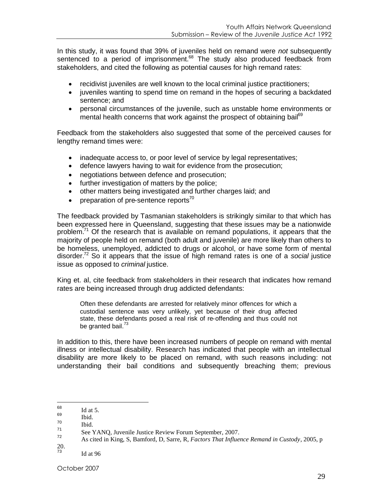In this study, it was found that 39% of juveniles held on remand were *not* subsequently sentenced to a period of imprisonment.<sup>[68](#page-28-0)</sup> The study also produced feedback from stakeholders, and cited the following as potential causes for high remand rates:

- recidivist juveniles are well known to the local criminal justice practitioners;
- juveniles wanting to spend time on remand in the hopes of securing a backdated sentence; and
- personal circumstances of the juvenile, such as unstable home environments or mentalhealth concerns that work against the prospect of obtaining bail<sup>69</sup>

Feedback from the stakeholders also suggested that some of the perceived causes for lengthy remand times were:

- inadequate access to, or poor level of service by legal representatives;
- defence lawyers having to wait for evidence from the prosecution;
- negotiations between defence and prosecution;
- further investigation of matters by the police;
- other matters being investigated and further charges laid; and
- preparation of pre-sentence reports<sup>[70](#page-28-2)</sup>

The feedback provided by Tasmanian stakeholders is strikingly similar to that which has been expressed here in Queensland, suggesting that these issues may be a nationwide problem.<sup>[71](#page-28-3)</sup> Of the research that is available on remand populations, it appears that the majority of people held on remand (both adult and juvenile) are more likely than others to be homeless, unemployed, addicted to drugs or alcohol, or have some form of mental disorder.[72](#page-28-4) So it appears that the issue of high remand rates is one of a *social* justice issue as opposed to *criminal* justice.

King et. al, cite feedback from stakeholders in their research that indicates how remand rates are being increased through drug addicted defendants:

Often these defendants are arrested for relatively minor offences for which a custodial sentence was very unlikely, yet because of their drug affected state, these defendants posed a real risk of re-offending and thus could not begranted bail.<sup>73</sup>

In addition to this, there have been increased numbers of people on remand with mental illness or intellectual disability. Research has indicated that people with an intellectual disability are more likely to be placed on remand, with such reasons including: not understanding their bail conditions and subsequently breaching them; previous

 $\frac{20}{73}$ 

<span id="page-28-0"></span> $\frac{68}{69}$  Id at 5.

<span id="page-28-2"></span><span id="page-28-1"></span> $\begin{array}{cc}\n 69 \\
70 \\
\text{I} & \text{II} & \text{II}\n \end{array}$ 

<span id="page-28-3"></span> $\frac{70}{71}$  Ibid.

<span id="page-28-4"></span>See YANQ, Juvenile Justice Review Forum September, 2007.

<sup>72</sup> As cited in King, S, Bamford, D, Sarre, R, *Factors That Influence Remand in Custody*, 2005, p

<span id="page-28-5"></span>Id at  $96$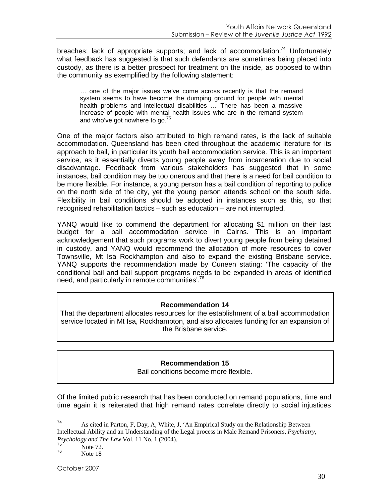breaches; lack of appropriate supports; and lack of accommodation.<sup>[74](#page-29-0)</sup> Unfortunately what feedback has suggested is that such defendants are sometimes being placed into custody, as there is a better prospect for treatment on the inside, as opposed to within the community as exemplified by the following statement:

… one of the major issues we've come across recently is that the remand system seems to have become the dumping ground for people with mental health problems and intellectual disabilities … There has been a massive increase of people with mental health issues who are in the remand system andwho've got nowhere to go[.](#page-29-1) $^{75}$ 

One of the major factors also attributed to high remand rates, is the lack of suitable accommodation. Queensland has been cited throughout the academic literature for its approach to bail, in particular its youth bail accommodation service. This is an important service, as it essentially diverts young people away from incarceration due to social disadvantage. Feedback from various stakeholders has suggested that in some instances, bail condition may be too onerous and that there is a need for bail condition to be more flexible. For instance, a young person has a bail condition of reporting to police on the north side of the city, yet the young person attends school on the south side. Flexibility in bail conditions should be adopted in instances such as this, so that recognised rehabilitation tactics – such as education – are not interrupted.

YANQ would like to commend the department for allocating \$1 million on their last budget for a bail accommodation service in Cairns. This is an important acknowledgement that such programs work to divert young people from being detained in custody, and YANQ would recommend the allocation of more resources to cover Townsville, Mt Isa Rockhampton and also to expand the existing Brisbane service. YANQ supports the recommendation made by Cuneen stating: 'The capacity of the conditional bail and bail support programs needs to be expanded in areas of identified need, and particularly in remote communities'.<sup>[76](#page-29-2)</sup>

#### **Recommendation 14**

That the department allocates resources for the establishment of a bail accommodation service located in Mt Isa, Rockhampton, and also allocates funding for an expansion of the Brisbane service.

#### **Recommendation 15**

Bail conditions become more flexible.

Of the limited public research that has been conducted on remand populations, time and time again it is reiterated that high remand rates correlate directly to social injustices

<span id="page-29-0"></span><sup>74</sup> As cited in Parton, F, Day, A, White, J, 'An Empirical Study on the Relationship Between Intellectual Ability and an Understanding of the Legal process in Male Remand Prisoners, *Psychiatry, Psychology and The Law* Vol. 11 No, 1 (2004).

<span id="page-29-2"></span><span id="page-29-1"></span> $\frac{75}{76}$  Note 72.

Note 18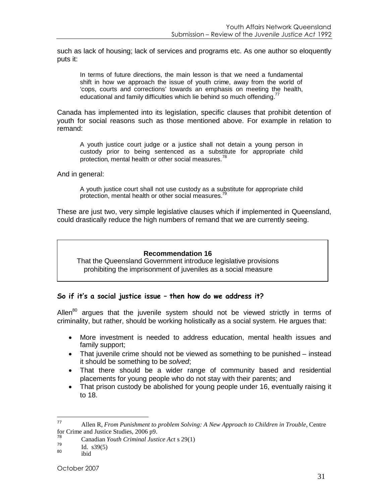such as lack of housing; lack of services and programs etc. As one author so eloquently puts it:

In terms of future directions, the main lesson is that we need a fundamental shift in how we approach the issue of youth crime, away from the world of 'cops, courts and corrections' towards an emphasis on meeting the health, educational and family difficulties which lie behind so much offending.<sup>[77](#page-30-0)</sup>

Canada has implemented into its legislation, specific clauses that prohibit detention of youth for social reasons such as those mentioned above. For example in relation to remand:

A youth justice court judge or a justice shall not detain a young person in custody prior to being sentenced as a substitute for appropriate child protection, mental health or other social measures.<sup>[78](#page-30-1)</sup>

And in general:

A youth justice court shall not use custody as a substitute for appropriate child protection, mental health or other social measures.<sup>[79](#page-30-2)</sup>

These are just two, very simple legislative clauses which if implemented in Queensland, could drastically reduce the high numbers of remand that we are currently seeing.

#### **Recommendation 16**

That the Queensland Government introduce legislative provisions prohibiting the imprisonment of juveniles as a social measure

#### **So if it's a social justice issue – then how do we address it?**

Allen $^{80}$  $^{80}$  $^{80}$  argues that the juvenile system should not be viewed strictly in terms of criminality, but rather, should be working holistically as a social system. He argues that:

- More investment is needed to address education, mental health issues and family support;
- That juvenile crime should not be viewed as something to be punished instead it should be something to be *solved*;
- That there should be a wider range of community based and residential placements for young people who do not stay with their parents; and
- That prison custody be abolished for young people under 16, eventually raising it to 18.

<span id="page-30-0"></span><sup>77</sup> Allen R, *From Punishment to problem Solving: A New Approach to Children in Trouble*, Centre for Crime and Justice Studies, 2006 p9.

<span id="page-30-2"></span><span id="page-30-1"></span><sup>&</sup>lt;sup>78</sup> Canadian *Youth Criminal Justice Act* s 29(1)  $I_{79}$   $I_{10}$  -20(5)

<span id="page-30-3"></span> $\begin{array}{cc}\n 79 \\
80 \\
\text{ik}:4\n \end{array}$ 

ibid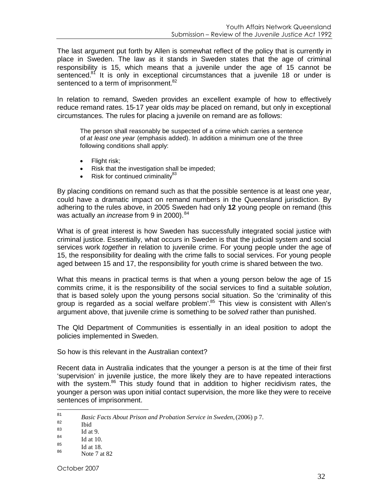The last argument put forth by Allen is somewhat reflect of the policy that is currently in place in Sweden. The law as it stands in Sweden states that the age of criminal responsibility is 15, which means that a juvenile under the age of 15 cannot be sentenced. $81$  It is only in exceptional circumstances that a juvenile 18 or under is sentenced to a term of imprisonment.<sup>[82](#page-31-1)</sup>

In relation to remand, Sweden provides an excellent example of how to effectively reduce remand rates. 15-17 year olds *may* be placed on remand, but only in exceptional circumstances. The rules for placing a juvenile on remand are as follows:

The person shall reasonably be suspected of a crime which carries a sentence of *at least one year* (emphasis added). In addition a minimum one of the three following conditions shall apply:

- Flight risk;
- Risk that the investigation shall be impeded;
- Risk for continued criminality $^{83}$  $^{83}$  $^{83}$

By placing conditions on remand such as that the possible sentence is at least one year, could have a dramatic impact on remand numbers in the Queensland jurisdiction. By adhering to the rules above, in 2005 Sweden had only **12** young people on remand (this was actually an *increase* from 9 in 2000).<sup>[84](#page-31-3)</sup>

What is of great interest is how Sweden has successfully integrated social justice with criminal justice. Essentially, what occurs in Sweden is that the judicial system and social services work *together* in relation to juvenile crime. For young people under the age of 15, the responsibility for dealing with the crime falls to social services. For young people aged between 15 and 17, the responsibility for youth crime is shared between the two.

What this means in practical terms is that when a young person below the age of 15 commits crime, it is the responsibility of the social services to find a suitable *solution*, that is based solely upon the young persons social situation. So the 'criminality of this group is regarded as a social welfare problem'.[85](#page-31-4) This view is consistent with Allen's argument above, that juvenile crime is something to be *solved* rather than punished.

The Qld Department of Communities is essentially in an ideal position to adopt the policies implemented in Sweden.

So how is this relevant in the Australian context?

Recent data in Australia indicates that the younger a person is at the time of their first 'supervision' in juvenile justice, the more likely they are to have repeated interactions with the system.<sup>[86](#page-31-5)</sup> This study found that in addition to higher recidivism rates, the younger a person was upon initial contact supervision, the more like they were to receive sentences of imprisonment.

<span id="page-31-1"></span><span id="page-31-0"></span><sup>81</sup> *Basic Facts About Prison and Probation Service in Sweden,*(2006) p 7.

<span id="page-31-2"></span> $\begin{array}{c}\n 82 \ 83 \ \end{array}$  Ibid

<span id="page-31-3"></span> $\frac{83}{84}$  Id at 9.

<span id="page-31-4"></span> $^{84}$  Id at 10.

<span id="page-31-5"></span> $^{85}$  Id at 18.

Note 7 at 82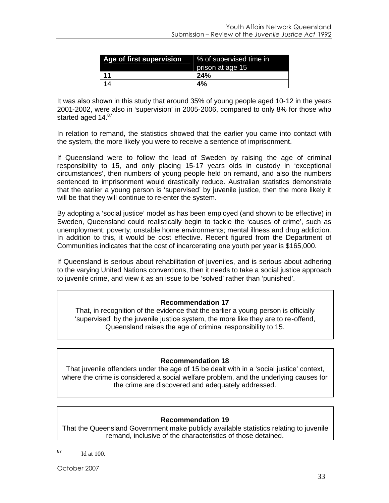| <b>Age of first supervision</b> % of supervised time in | prison at age 15 |
|---------------------------------------------------------|------------------|
| -11                                                     | <b>24%</b>       |
| 14                                                      | 4%               |

It was also shown in this study that around 35% of young people aged 10-12 in the years 2001-2002, were also in 'supervision' in 2005-2006, compared to only 8% for those who startedaged 14.87

In relation to remand, the statistics showed that the earlier you came into contact with the system, the more likely you were to receive a sentence of imprisonment.

If Queensland were to follow the lead of Sweden by raising the age of criminal responsibility to 15, and only placing 15-17 years olds in custody in 'exceptional circumstances', then numbers of young people held on remand, and also the numbers sentenced to imprisonment would drastically reduce. Australian statistics demonstrate that the earlier a young person is 'supervised' by juvenile justice, then the more likely it will be that they will continue to re-enter the system.

By adopting a 'social justice' model as has been employed (and shown to be effective) in Sweden, Queensland could realistically begin to tackle the 'causes of crime', such as unemployment; poverty; unstable home environments; mental illness and drug addiction. In addition to this, it would be cost effective. Recent figured from the Department of Communities indicates that the cost of incarcerating one youth per year is \$165,000.

If Queensland is serious about rehabilitation of juveniles, and is serious about adhering to the varying United Nations conventions, then it needs to take a social justice approach to juvenile crime, and view it as an issue to be 'solved' rather than 'punished'.

#### **Recommendation 17**

That, in recognition of the evidence that the earlier a young person is officially 'supervised' by the juvenile justice system, the more like they are to re-offend, Queensland raises the age of criminal responsibility to 15.

#### **Recommendation 18**

That juvenile offenders under the age of 15 be dealt with in a 'social justice' context, where the crime is considered a social welfare problem, and the underlying causes for the crime are discovered and adequately addressed.

#### **Recommendation 19**

That the Queensland Government make publicly available statistics relating to juvenile remand, inclusive of the characteristics of those detained.

<span id="page-32-0"></span> $^{87}$  Id at 100.

October 2007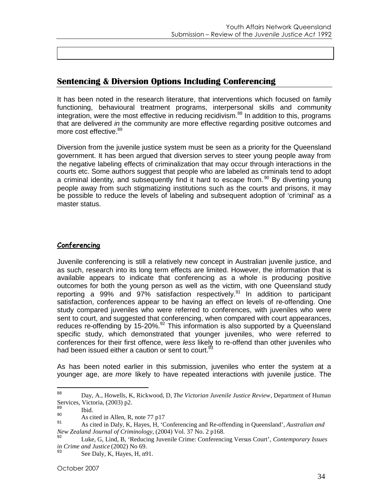## **Sentencing & Diversion Options Including Conferencing**

It has been noted in the research literature, that interventions which focused on family functioning, behavioural treatment programs, interpersonal skills and community integration, were the most effective in reducing recidivism. $88$  In addition to this, programs that are delivered *in* the community are more effective regarding positive outcomes and more cost effective.<sup>[89](#page-33-1)</sup>

Diversion from the juvenile justice system must be seen as a priority for the Queensland government. It has been argued that diversion serves to steer young people away from the negative labeling effects of criminalization that may occur through interactions in the courts etc. Some authors suggest that people who are labeled as criminals tend to adopt a criminal identity, and subsequently find it hard to escape from.<sup>[90](#page-33-2)</sup> By diverting young people away from such stigmatizing institutions such as the courts and prisons, it may be possible to reduce the levels of labeling and subsequent adoption of 'criminal' as a master status.

#### **Conferencing**

Juvenile conferencing is still a relatively new concept in Australian juvenile justice, and as such, research into its long term effects are limited. However, the information that is available appears to indicate that conferencing as a whole is producing positive outcomes for both the young person as well as the victim, with one Queensland study reporting a 99% and 97% satisfaction respectively.<sup>[91](#page-33-3)</sup> In addition to participant satisfaction, conferences appear to be having an effect on levels of re-offending. One study compared juveniles who were referred to conferences, with juveniles who were sent to court, and suggested that conferencing, when compared with court appearances, reduces re-offending by 15-20%.<sup>[92](#page-33-4)</sup> This information is also supported by a Queensland specific study, which demonstrated that younger juveniles, who were referred to conferences for their first offence, were *less* likely to re-offend than other juveniles who had been issued either a caution or sent to court.<sup>9</sup>

As has been noted earlier in this submission, juveniles who enter the system at a younger age, are *more* likely to have repeated interactions with juvenile justice. The

<span id="page-33-0"></span><sup>88</sup> Day, A., Howells, K, Rickwood, D, *The Victorian Juvenile Justice Review*, Department of Human Services, Victoria, (2003) p2.

<span id="page-33-2"></span><span id="page-33-1"></span> $\begin{array}{c}\n 89 \\
\hline\n 90\n \end{array}$  Ibid.

<span id="page-33-3"></span><sup>90</sup> As cited in Allen, R, note 77 p17

<sup>91</sup> As cited in Daly, K, Hayes, H, 'Conferencing and Re-offending in Queensland', *Australian and New Zealand Journal of Criminology*, (2004) Vol. 37 No. 2 p168.

<span id="page-33-4"></span><sup>92</sup> Luke, G, Lind, B, 'Reducing Juvenile Crime: Conferencing Versus Court', *Contemporary Issues in Crime and Justice* (2002) No 69.

<span id="page-33-5"></span> $^{93}$  See Daly, K, Hayes, H, n91.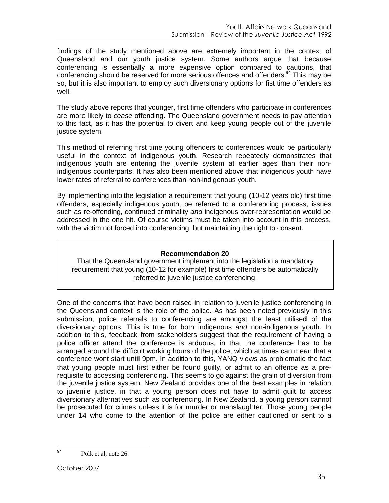findings of the study mentioned above are extremely important in the context of Queensland and our youth justice system. Some authors argue that because conferencing is essentially a more expensive option compared to cautions, that conferencing should be reserved for more serious offences and offenders.<sup>[94](#page-34-0)</sup> This may be so, but it is also important to employ such diversionary options for fist time offenders as well.

The study above reports that younger, first time offenders who participate in conferences are more likely to *cease* offending. The Queensland government needs to pay attention to this fact, as it has the potential to divert and keep young people out of the juvenile justice system.

This method of referring first time young offenders to conferences would be particularly useful in the context of indigenous youth. Research repeatedly demonstrates that indigenous youth are entering the juvenile system at earlier ages than their nonindigenous counterparts. It has also been mentioned above that indigenous youth have lower rates of referral to conferences than non-indigenous youth.

By implementing into the legislation a requirement that young (10-12 years old) first time offenders, especially indigenous youth, be referred to a conferencing process, issues such as re-offending, continued criminality *and* indigenous over-representation would be addressed in the one hit. Of course victims must be taken into account in this process, with the victim not forced into conferencing, but maintaining the right to consent.

## **Recommendation 20**

That the Queensland government implement into the legislation a mandatory requirement that young (10-12 for example) first time offenders be automatically referred to juvenile justice conferencing.

One of the concerns that have been raised in relation to juvenile justice conferencing in the Queensland context is the role of the police. As has been noted previously in this submission, police referrals to conferencing are amongst the least utilised of the diversionary options. This is true for both indigenous *and* non-indigenous youth. In addition to this, feedback from stakeholders suggest that the requirement of having a police officer attend the conference is arduous, in that the conference has to be arranged around the difficult working hours of the police, which at times can mean that a conference wont start until 9pm. In addition to this, YANQ views as problematic the fact that young people must first either be found guilty, or admit to an offence as a prerequisite to accessing conferencing. This seems to go against the grain of diversion from the juvenile justice system. New Zealand provides one of the best examples in relation to juvenile justice, in that a young person does not have to admit guilt to access diversionary alternatives such as conferencing. In New Zealand, a young person cannot be prosecuted for crimes unless it is for murder or manslaughter. Those young people under 14 who come to the attention of the police are either cautioned or sent to a

<span id="page-34-0"></span><sup>94</sup> Polk et al, note 26.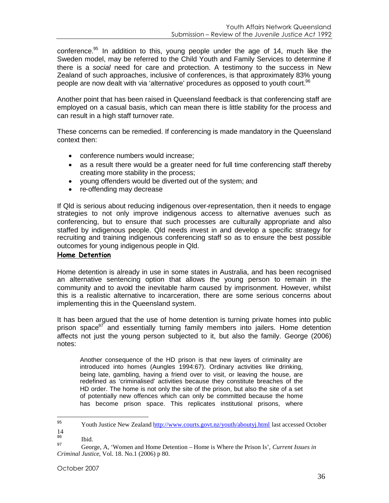conference.<sup>[95](#page-35-0)</sup> In addition to this, young people under the age of 14, much like the Sweden model, may be referred to the Child Youth and Family Services to determine if there is a *social* need for care and protection. A testimony to the success in New Zealand of such approaches, inclusive of conferences, is that approximately 83% young people are now dealt with via 'alternative' procedures as opposed to youth court. $96$ 

Another point that has been raised in Queensland feedback is that conferencing staff are employed on a casual basis, which can mean there is little stability for the process and can result in a high staff turnover rate.

These concerns can be remedied. If conferencing is made mandatory in the Queensland context then:

- conference numbers would increase:
- as a result there would be a greater need for full time conferencing staff thereby creating more stability in the process;
- young offenders would be diverted out of the system; and
- re-offending may decrease

If Qld is serious about reducing indigenous over-representation, then it needs to engage strategies to not only improve indigenous access to alternative avenues such as conferencing, but to ensure that such processes are culturally appropriate and also staffed by indigenous people. Qld needs invest in and develop a specific strategy for recruiting and training indigenous conferencing staff so as to ensure the best possible outcomes for young indigenous people in Qld.

#### **Home Detention**

Home detention is already in use in some states in Australia, and has been recognised an alternative sentencing option that allows the young person to remain in the community and to avoid the inevitable harm caused by imprisonment. However, whilst this is a realistic alternative to incarceration, there are some serious concerns about implementing this in the Queensland system.

It has been argued that the use of home detention is turning private homes into public prison space<sup>[97](#page-35-2)</sup> and essentially turning family members into jailers. Home detention affects not just the young person subjected to it, but also the family. George (2006) notes:

Another consequence of the HD prison is that new layers of criminality are introduced into homes (Aungles 1994:67). Ordinary activities like drinking, being late, gambling, having a friend over to visit, or leaving the house, are redefined as 'criminalised' activities because they constitute breaches of the HD order. The home is not only the site of the prison, but also the site of a set of potentially new offences which can only be committed because the home has become prison space. This replicates institutional prisons, where

<span id="page-35-0"></span><sup>95</sup> Youth Justice New Zealand http://www.courts.govt.nz/youth/aboutyj.html last accessed October  $\frac{14}{96}$ 

<span id="page-35-2"></span><span id="page-35-1"></span> $\frac{96}{97}$  Ibid.

<sup>97</sup> George, A, 'Women and Home Detention – Home is Where the Prison Is', *Current Issues in Criminal Justice*, Vol. 18. No.1 (2006) p 80.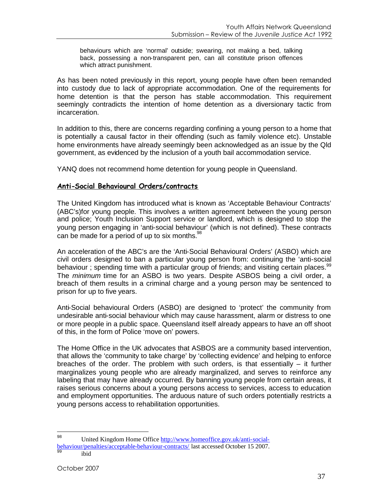behaviours which are 'normal' outside; swearing, not making a bed, talking back, possessing a non-transparent pen, can all constitute prison offences which attract punishment.

As has been noted previously in this report, young people have often been remanded into custody due to lack of appropriate accommodation. One of the requirements for home detention is that the person has stable accommodation. This requirement seemingly contradicts the intention of home detention as a diversionary tactic from incarceration.

In addition to this, there are concerns regarding confining a young person to a home that is potentially a causal factor in their offending (such as family violence etc). Unstable home environments have already seemingly been acknowledged as an issue by the Qld government, as evidenced by the inclusion of a youth bail accommodation service.

YANQ does not recommend home detention for young people in Queensland.

#### **Anti-Social Behavioural Orders/contracts**

The United Kingdom has introduced what is known as 'Acceptable Behaviour Contracts' (ABC's)for young people. This involves a written agreement between the young person and police; Youth Inclusion Support service or landlord, which is designed to stop the young person engaging in 'anti-social behaviour' (which is not defined). These contracts can be made for a period of up to six months. $98$ 

An acceleration of the ABC's are the 'Anti-Social Behavioural Orders' (ASBO) which are civil orders designed to ban a particular young person from: continuing the 'anti-social behaviour; spending time with a particular group of friends; and visiting certain places.<sup>[99](#page-36-1)</sup> The *minimum* time for an ASBO is two years. Despite ASBOS being a civil order, a breach of them results in a criminal charge and a young person may be sentenced to prison for up to five years.

Anti-Social behavioural Orders (ASBO) are designed to 'protect' the community from undesirable anti-social behaviour which may cause harassment, alarm or distress to one or more people in a public space. Queensland itself already appears to have an off shoot of this, in the form of Police 'move on' powers.

The Home Office in the UK advocates that ASBOS are a community based intervention, that allows the 'community to take charge' by 'collecting evidence' and helping to enforce breaches of the order. The problem with such orders, is that essentially – it further marginalizes young people who are already marginalized, and serves to reinforce any labeling that may have already occurred. By banning young people from certain areas, it raises serious concerns about a young persons access to services, access to education and employment opportunities. The arduous nature of such orders potentially restricts a young persons access to rehabilitation opportunities.

<span id="page-36-0"></span><sup>98</sup> United Kingdom Home Office http://www.homeoffice.gov.uk/anti-socialbehaviour/penalties/acceptable-behaviour-contracts/ last accessed October 15 2007.

<span id="page-36-1"></span>ibid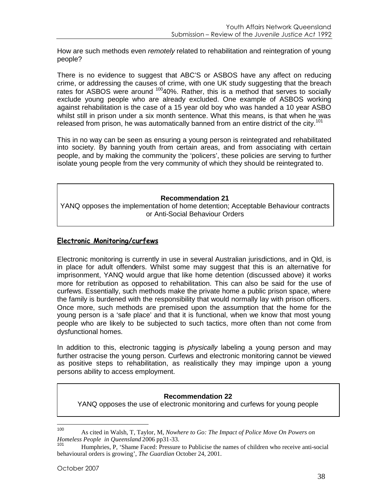How are such methods even *remotely* related to rehabilitation and reintegration of young people?

There is no evidence to suggest that ABC'S or ASBOS have any affect on reducing crime, or addressing the causes of crime, with one UK study suggesting that the breach rates for ASBOS were around  $10040\%$  $10040\%$ . Rather, this is a method that serves to socially exclude young people who are already excluded. One example of ASBOS working against rehabilitation is the case of a 15 year old boy who was handed a 10 year ASBO whilst still in prison under a six month sentence. What this means, is that when he was releasedfrom prison, he was automatically banned from an entire district of the city.<sup>101</sup>

This in no way can be seen as ensuring a young person is reintegrated and rehabilitated into society. By banning youth from certain areas, and from associating with certain people, and by making the community the 'policers', these policies are serving to further isolate young people from the very community of which they should be reintegrated to.

#### **Recommendation 21**

YANQ opposes the implementation of home detention; Acceptable Behaviour contracts or Anti-Social Behaviour Orders

#### **Electronic Monitoring/curfews**

Electronic monitoring is currently in use in several Australian jurisdictions, and in Qld, is in place for adult offenders. Whilst some may suggest that this is an alternative for imprisonment, YANQ would argue that like home detention (discussed above) it works more for retribution as opposed to rehabilitation. This can also be said for the use of curfews. Essentially, such methods make the private home a public prison space, where the family is burdened with the responsibility that would normally lay with prison officers. Once more, such methods are premised upon the assumption that the home for the young person is a 'safe place' and that it is functional, when we know that most young people who are likely to be subjected to such tactics, more often than not come from dysfunctional homes.

In addition to this, electronic tagging is *physically* labeling a young person and may further ostracise the young person. Curfews and electronic monitoring cannot be viewed as positive steps to rehabilitation, as realistically they may impinge upon a young persons ability to access employment.

#### **Recommendation 22**

YANQ opposes the use of electronic monitoring and curfews for young people

<span id="page-37-0"></span>

<sup>100</sup> As cited in Walsh, T, Taylor, M, *Nowhere to Go: The Impact of Police Move On Powers on Homeless People in Queensland* 2006 pp31-33.

<span id="page-37-1"></span>Humphries, P, 'Shame Faced: Pressure to Publicise the names of children who receive anti-social behavioural orders is growing', *The Guardian* October 24, 2001.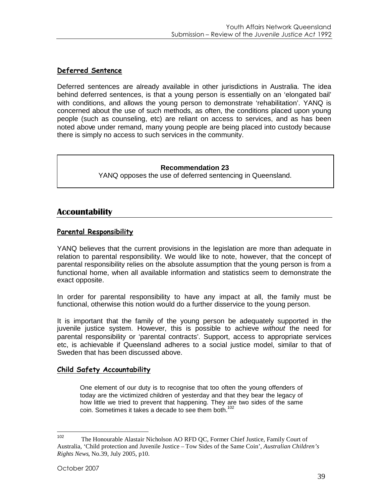## **Deferred Sentence**

Deferred sentences are already available in other jurisdictions in Australia. The idea behind deferred sentences, is that a young person is essentially on an 'elongated bail' with conditions, and allows the young person to demonstrate 'rehabilitation'. YANQ is concerned about the use of such methods, as often, the conditions placed upon young people (such as counseling, etc) are reliant on access to services, and as has been noted above under remand, many young people are being placed into custody because there is simply no access to such services in the community.

#### **Recommendation 23**

YANQ opposes the use of deferred sentencing in Queensland.

## **Accountability**

#### **Parental Responsibility**

YANQ believes that the current provisions in the legislation are more than adequate in relation to parental responsibility. We would like to note, however, that the concept of parental responsibility relies on the absolute assumption that the young person is from a functional home, when all available information and statistics seem to demonstrate the exact opposite.

In order for parental responsibility to have any impact at all, the family must be functional, otherwise this notion would do a further disservice to the young person.

It is important that the family of the young person be adequately supported in the juvenile justice system. However, this is possible to achieve *without* the need for parental responsibility or 'parental contracts'. Support, access to appropriate services etc, is achievable if Queensland adheres to a social justice model, similar to that of Sweden that has been discussed above.

#### **Child Safety Accountability**

One element of our duty is to recognise that too often the young offenders of today are the victimized children of yesterday and that they bear the legacy of how little we tried to prevent that happening. They are two sides of the same coin. Sometimes it takes a decade to see them both.<sup>[102](#page-38-0)</sup>

<span id="page-38-0"></span><sup>102</sup> The Honourable Alastair Nicholson AO RFD QC, Former Chief Justice, Family Court of Australia, 'Child protection and Juvenile Justice – Tow Sides of the Same Coin', *Australian Children's Rights News*, No.39, July 2005, p10.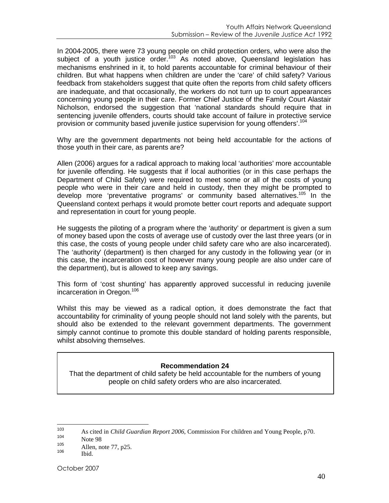In 2004-2005, there were 73 young people on child protection orders, who were also the subject of a youth justice order.<sup>[103](#page-39-0)</sup> As noted above, Queensland legislation has mechanisms enshrined in it, to hold parents accountable for criminal behaviour of their children. But what happens when children are under the 'care' of child safety? Various feedback from stakeholders suggest that quite often the reports from child safety officers are inadequate, and that occasionally, the workers do not turn up to court appearances concerning young people in their care. Former Chief Justice of the Family Court Alastair Nicholson, endorsed the suggestion that 'national standards should require that in sentencing juvenile offenders, courts should take account of failure in protective service provision or community based juvenile justice supervision for young offenders'.[104](#page-39-1)

Why are the government departments not being held accountable for the actions of those youth in their care, as parents are?

Allen (2006) argues for a radical approach to making local 'authorities' more accountable for juvenile offending. He suggests that if local authorities (or in this case perhaps the Department of Child Safety) were required to meet some or all of the costs of young people who were in their care and held in custody, then they might be prompted to develop more 'preventative programs' or community based alternatives.<sup>[105](#page-39-2)</sup> In the Queensland context perhaps it would promote better court reports and adequate support and representation in court for young people.

He suggests the piloting of a program where the 'authority' or department is given a sum of money based upon the costs of average use of custody over the last three years (or in this case, the costs of young people under child safety care who are also incarcerated). The 'authority' (department) is then charged for any custody in the following year (or in this case, the incarceration cost of however many young people are also under care of the department), but is allowed to keep any savings.

This form of 'cost shunting' has apparently approved successful in reducing juvenile incarceration in Oregon.<sup>[106](#page-39-3)</sup>

Whilst this may be viewed as a radical option, it does demonstrate the fact that accountability for criminality of young people should not land solely with the parents, but should also be extended to the relevant government departments. The government simply cannot continue to promote this double standard of holding parents responsible, whilst absolving themselves.

#### **Recommendation 24**

That the department of child safety be held accountable for the numbers of young people on child safety orders who are also incarcerated.

<span id="page-39-0"></span><sup>103</sup> As cited in *Child Guardian Report 2006*, Commission For children and Young People, p70.

<span id="page-39-2"></span><span id="page-39-1"></span> $\frac{104}{105}$  Note 98

<span id="page-39-3"></span> $\frac{105}{106}$  Allen, note 77, p25.

Ibid.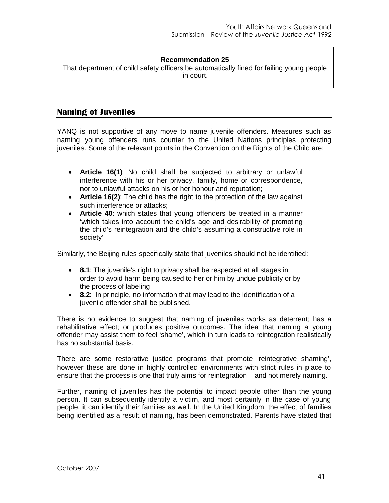#### **Recommendation 25**

That department of child safety officers be automatically fined for failing young people in court.

### **Naming of Juveniles**

YANQ is not supportive of any move to name juvenile offenders. Measures such as naming young offenders runs counter to the United Nations principles protecting juveniles. Some of the relevant points in the Convention on the Rights of the Child are:

- **Article 16(1)**: No child shall be subjected to arbitrary or unlawful interference with his or her privacy, family, home or correspondence, nor to unlawful attacks on his or her honour and reputation;
- **Article 16(2)**: The child has the right to the protection of the law against such interference or attacks;
- **Article 40**: which states that young offenders be treated in a manner 'which takes into account the child's age and desirability of promoting the child's reintegration and the child's assuming a constructive role in society'

Similarly, the Beijing rules specifically state that juveniles should not be identified:

- **8.1**: The juvenile's right to privacy shall be respected at all stages in order to avoid harm being caused to her or him by undue publicity or by the process of labeling
- **8.2**: In principle, no information that may lead to the identification of a juvenile offender shall be published.

There is no evidence to suggest that naming of juveniles works as deterrent; has a rehabilitative effect; or produces positive outcomes. The idea that naming a young offender may assist them to feel 'shame', which in turn leads to reintegration realistically has no substantial basis.

There are some restorative justice programs that promote 'reintegrative shaming', however these are done in highly controlled environments with strict rules in place to ensure that the process is one that truly aims for reintegration – and not merely naming.

Further, naming of juveniles has the potential to impact people other than the young person. It can subsequently identify a victim, and most certainly in the case of young people, it can identify their families as well. In the United Kingdom, the effect of families being identified as a result of naming, has been demonstrated. Parents have stated that